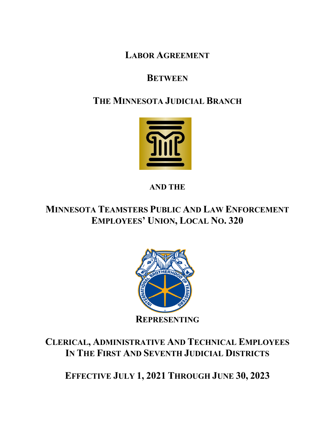**LABOR AGREEMENT**

# **BETWEEN**

# **THE MINNESOTA JUDICIAL BRANCH**



**AND THE**

**MINNESOTA TEAMSTERS PUBLIC AND LAW ENFORCEMENT EMPLOYEES' UNION, LOCAL NO. 320**



# **CLERICAL, ADMINISTRATIVE AND TECHNICAL EMPLOYEES IN THE FIRST AND SEVENTH JUDICIAL DISTRICTS**

**EFFECTIVE JULY 1, 2021 THROUGH JUNE 30, 2023**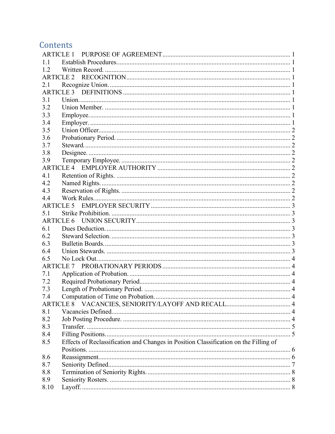# Contents

| 1.1              |                                                                                      |  |  |  |  |
|------------------|--------------------------------------------------------------------------------------|--|--|--|--|
| 1.2              |                                                                                      |  |  |  |  |
|                  |                                                                                      |  |  |  |  |
| 2.1              |                                                                                      |  |  |  |  |
|                  |                                                                                      |  |  |  |  |
| 3.1              |                                                                                      |  |  |  |  |
| 3.2              |                                                                                      |  |  |  |  |
| 3.3              |                                                                                      |  |  |  |  |
| 3.4              |                                                                                      |  |  |  |  |
| 3.5              |                                                                                      |  |  |  |  |
| 3.6              |                                                                                      |  |  |  |  |
| 3.7              |                                                                                      |  |  |  |  |
| 3.8              |                                                                                      |  |  |  |  |
| 3.9              |                                                                                      |  |  |  |  |
|                  |                                                                                      |  |  |  |  |
| 4.1              |                                                                                      |  |  |  |  |
| 4.2              |                                                                                      |  |  |  |  |
| 4.3              |                                                                                      |  |  |  |  |
| 4.4              |                                                                                      |  |  |  |  |
| <b>ARTICLE 5</b> |                                                                                      |  |  |  |  |
| 5.1              |                                                                                      |  |  |  |  |
|                  |                                                                                      |  |  |  |  |
| 6.1              |                                                                                      |  |  |  |  |
| 6.2              |                                                                                      |  |  |  |  |
| 6.3              |                                                                                      |  |  |  |  |
| 6.4              |                                                                                      |  |  |  |  |
| 6.5              |                                                                                      |  |  |  |  |
|                  | <b>ARTICLE 7</b>                                                                     |  |  |  |  |
| 7.1              |                                                                                      |  |  |  |  |
| 7.2              |                                                                                      |  |  |  |  |
| 7.3              |                                                                                      |  |  |  |  |
| 7.4              |                                                                                      |  |  |  |  |
| <b>ARTICLE 8</b> |                                                                                      |  |  |  |  |
| 8.1              |                                                                                      |  |  |  |  |
| 8.2              |                                                                                      |  |  |  |  |
|                  |                                                                                      |  |  |  |  |
| 8.3              |                                                                                      |  |  |  |  |
| 8.4              |                                                                                      |  |  |  |  |
| 8.5              | Effects of Reclassification and Changes in Position Classification on the Filling of |  |  |  |  |
|                  |                                                                                      |  |  |  |  |
| 8.6              |                                                                                      |  |  |  |  |
| 8.7              |                                                                                      |  |  |  |  |
| 8.8              |                                                                                      |  |  |  |  |
| 8.9              |                                                                                      |  |  |  |  |
| 8.10             |                                                                                      |  |  |  |  |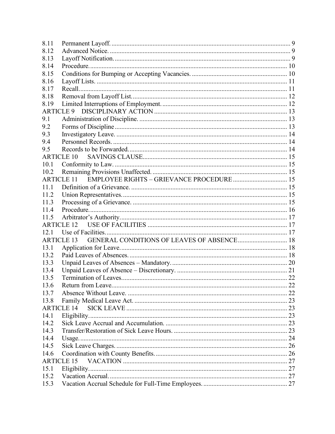| 8.11              |                                                   |  |
|-------------------|---------------------------------------------------|--|
| 8.12              |                                                   |  |
| 8.13              |                                                   |  |
| 8.14              |                                                   |  |
| 8.15              |                                                   |  |
| 8.16              |                                                   |  |
| 8.17              |                                                   |  |
| 8.18              |                                                   |  |
| 8.19              |                                                   |  |
|                   |                                                   |  |
| 9.1               |                                                   |  |
| 9.2               |                                                   |  |
| 9.3               |                                                   |  |
| 9.4               |                                                   |  |
| 9.5               |                                                   |  |
| <b>ARTICLE 10</b> |                                                   |  |
| 10.1              |                                                   |  |
| 10.2              |                                                   |  |
| <b>ARTICLE 11</b> |                                                   |  |
| 11.1              |                                                   |  |
| 11.2              |                                                   |  |
| 11.3              |                                                   |  |
| 11.4              |                                                   |  |
| 11.5              |                                                   |  |
|                   | <b>ARTICLE 12</b>                                 |  |
| 12.1              |                                                   |  |
| <b>ARTICLE 13</b> | <b>GENERAL CONDITIONS OF LEAVES OF ABSENCE 18</b> |  |
| 13.1              |                                                   |  |
| 13.2              |                                                   |  |
| 13.3              |                                                   |  |
| 13.4              |                                                   |  |
| 13.5              |                                                   |  |
| 13.6              |                                                   |  |
| 13.7              |                                                   |  |
| 13.8              |                                                   |  |
|                   | <b>ARTICLE 14</b>                                 |  |
| 14.1              |                                                   |  |
| 14.2              |                                                   |  |
| 14.3              |                                                   |  |
| 14.4              |                                                   |  |
| 14.5              |                                                   |  |
| 14.6              |                                                   |  |
|                   | <b>ARTICLE 15</b>                                 |  |
| 15.1              |                                                   |  |
| 15.2              |                                                   |  |
| 15.3              |                                                   |  |
|                   |                                                   |  |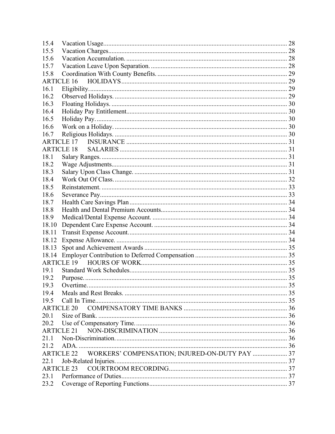| 15.4  |                                                                     |  |
|-------|---------------------------------------------------------------------|--|
| 15.5  |                                                                     |  |
| 15.6  |                                                                     |  |
| 15.7  |                                                                     |  |
| 15.8  |                                                                     |  |
|       | <b>ARTICLE 16</b>                                                   |  |
| 16.1  |                                                                     |  |
| 16.2  |                                                                     |  |
| 16.3  |                                                                     |  |
| 16.4  |                                                                     |  |
| 16.5  |                                                                     |  |
| 16.6  |                                                                     |  |
| 16.7  |                                                                     |  |
|       | <b>ARTICLE 17</b>                                                   |  |
|       | <b>ARTICLE 18</b>                                                   |  |
| 18.1  |                                                                     |  |
| 18.2  |                                                                     |  |
| 18.3  |                                                                     |  |
| 18.4  |                                                                     |  |
| 18.5  |                                                                     |  |
| 18.6  |                                                                     |  |
| 18.7  |                                                                     |  |
| 18.8  |                                                                     |  |
| 18.9  |                                                                     |  |
| 18.10 |                                                                     |  |
| 18.11 |                                                                     |  |
| 18.12 |                                                                     |  |
| 18.13 |                                                                     |  |
| 18.14 |                                                                     |  |
|       |                                                                     |  |
| 19.1  |                                                                     |  |
| 19.2  |                                                                     |  |
| 19.3  | Overtime                                                            |  |
| 19.4  |                                                                     |  |
| 19.5  |                                                                     |  |
|       | <b>ARTICLE 20</b>                                                   |  |
| 20.1  |                                                                     |  |
| 20.2  |                                                                     |  |
|       | <b>ARTICLE 21</b>                                                   |  |
| 21.1  |                                                                     |  |
| 21.2  |                                                                     |  |
|       | WORKERS' COMPENSATION; INJURED-ON-DUTY PAY  37<br><b>ARTICLE 22</b> |  |
| 22.1  |                                                                     |  |
|       | <b>ARTICLE 23</b>                                                   |  |
| 23.1  |                                                                     |  |
| 23.2  |                                                                     |  |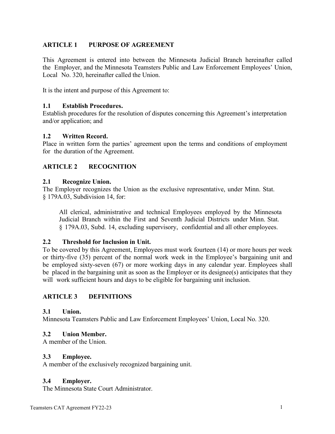# <span id="page-6-0"></span>**ARTICLE 1 PURPOSE OF AGREEMENT**

This Agreement is entered into between the Minnesota Judicial Branch hereinafter called the Employer, and the Minnesota Teamsters Public and Law Enforcement Employees' Union, Local No. 320, hereinafter called the Union.

It is the intent and purpose of this Agreement to:

### <span id="page-6-1"></span>**1.1 Establish Procedures.**

Establish procedures for the resolution of disputes concerning this Agreement's interpretation and/or application; and

#### <span id="page-6-2"></span>**1.2 Written Record.**

Place in written form the parties' agreement upon the terms and conditions of employment for the duration of the Agreement.

# <span id="page-6-3"></span>**ARTICLE 2 RECOGNITION**

#### <span id="page-6-4"></span>**2.1 Recognize Union.**

The Employer recognizes the Union as the exclusive representative, under Minn. Stat. § 179A.03, Subdivision 14, for:

All clerical, administrative and technical Employees employed by the Minnesota Judicial Branch within the First and Seventh Judicial Districts under Minn. Stat. § 179A.03, Subd. 14, excluding supervisory, confidential and all other employees.

# **2.2 Threshold for Inclusion in Unit.**

To be covered by this Agreement, Employees must work fourteen (14) or more hours per week or thirty-five (35) percent of the normal work week in the Employee's bargaining unit and be employed sixty-seven (67) or more working days in any calendar year. Employees shall be placed in the bargaining unit as soon as the Employer or its designee(s) anticipates that they will work sufficient hours and days to be eligible for bargaining unit inclusion.

# <span id="page-6-5"></span>**ARTICLE 3 DEFINITIONS**

#### <span id="page-6-6"></span>**3.1 Union.**

Minnesota Teamsters Public and Law Enforcement Employees' Union, Local No. 320.

# <span id="page-6-7"></span>**3.2 Union Member.**

A member of the Union.

#### <span id="page-6-8"></span>**3.3 Employee.**

A member of the exclusively recognized bargaining unit.

# <span id="page-6-9"></span>**3.4 Employer.**

The Minnesota State Court Administrator.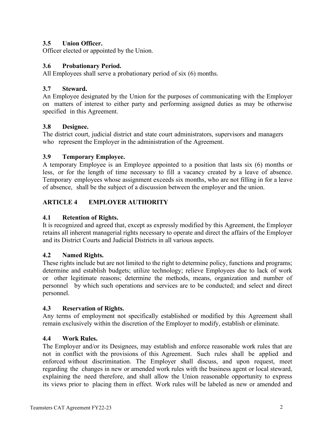# <span id="page-7-0"></span>**3.5 Union Officer.**

Officer elected or appointed by the Union.

# <span id="page-7-1"></span>**3.6 Probationary Period.**

All Employees shall serve a probationary period of six (6) months.

### <span id="page-7-2"></span>**3.7 Steward.**

An Employee designated by the Union for the purposes of communicating with the Employer on matters of interest to either party and performing assigned duties as may be otherwise specified in this Agreement.

### <span id="page-7-3"></span>**3.8 Designee.**

The district court, judicial district and state court administrators, supervisors and managers who represent the Employer in the administration of the Agreement.

### <span id="page-7-4"></span>**3.9 Temporary Employee.**

A temporary Employee is an Employee appointed to a position that lasts six (6) months or less, or for the length of time necessary to fill a vacancy created by a leave of absence. Temporary employees whose assignment exceeds six months, who are not filling in for a leave of absence, shall be the subject of a discussion between the employer and the union.

# <span id="page-7-5"></span>**ARTICLE 4 EMPLOYER AUTHORITY**

#### <span id="page-7-6"></span>**4.1 Retention of Rights.**

It is recognized and agreed that, except as expressly modified by this Agreement, the Employer retains all inherent managerial rights necessary to operate and direct the affairs of the Employer and its District Courts and Judicial Districts in all various aspects.

#### <span id="page-7-7"></span>**4.2 Named Rights.**

These rights include but are not limited to the right to determine policy, functions and programs; determine and establish budgets; utilize technology; relieve Employees due to lack of work or other legitimate reasons; determine the methods, means, organization and number of personnel by which such operations and services are to be conducted; and select and direct personnel.

#### <span id="page-7-8"></span>**4.3 Reservation of Rights.**

Any terms of employment not specifically established or modified by this Agreement shall remain exclusively within the discretion of the Employer to modify, establish or eliminate.

#### <span id="page-7-9"></span>**4.4 Work Rules.**

The Employer and/or its Designees, may establish and enforce reasonable work rules that are not in conflict with the provisions of this Agreement. Such rules shall be applied and enforced without discrimination. The Employer shall discuss, and upon request, meet regarding the changes in new or amended work rules with the business agent or local steward, explaining the need therefore, and shall allow the Union reasonable opportunity to express its views prior to placing them in effect. Work rules will be labeled as new or amended and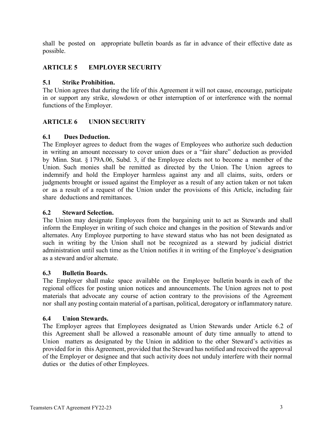shall be posted on appropriate bulletin boards as far in advance of their effective date as possible.

# <span id="page-8-0"></span>**ARTICLE 5 EMPLOYER SECURITY**

### <span id="page-8-1"></span>**5.1 Strike Prohibition.**

The Union agrees that during the life of this Agreement it will not cause, encourage, participate in or support any strike, slowdown or other interruption of or interference with the normal functions of the Employer.

# <span id="page-8-2"></span>**ARTICLE 6 UNION SECURITY**

### <span id="page-8-3"></span>**6.1 Dues Deduction.**

The Employer agrees to deduct from the wages of Employees who authorize such deduction in writing an amount necessary to cover union dues or a "fair share" deduction as provided by Minn. Stat. § 179A.06, Subd. 3, if the Employee elects not to become a member of the Union. Such monies shall be remitted as directed by the Union. The Union agrees to indemnify and hold the Employer harmless against any and all claims, suits, orders or judgments brought or issued against the Employer as a result of any action taken or not taken or as a result of a request of the Union under the provisions of this Article, including fair share deductions and remittances.

### <span id="page-8-4"></span>**6.2 Steward Selection.**

The Union may designate Employees from the bargaining unit to act as Stewards and shall inform the Employer in writing of such choice and changes in the position of Stewards and/or alternates. Any Employee purporting to have steward status who has not been designated as such in writing by the Union shall not be recognized as a steward by judicial district administration until such time as the Union notifies it in writing of the Employee's designation as a steward and/or alternate.

# <span id="page-8-5"></span>**6.3 Bulletin Boards.**

The Employer shall make space available on the Employee bulletin boards in each of the regional offices for posting union notices and announcements. The Union agrees not to post materials that advocate any course of action contrary to the provisions of the Agreement nor shall any posting contain material of a partisan, political, derogatory or inflammatory nature.

#### <span id="page-8-6"></span>**6.4 Union Stewards.**

The Employer agrees that Employees designated as Union Stewards under Article 6.2 of this Agreement shall be allowed a reasonable amount of duty time annually to attend to Union matters as designated by the Union in addition to the other Steward's activities as provided for in this Agreement, provided that the Steward has notified and received the approval of the Employer or designee and that such activity does not unduly interfere with their normal duties or the duties of other Employees.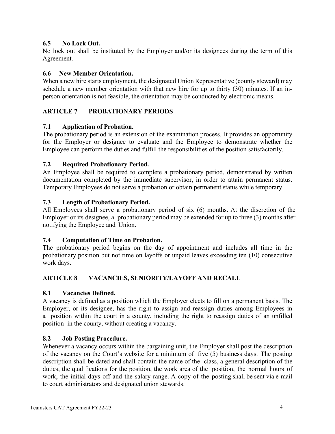# <span id="page-9-0"></span>**6.5 No Lock Out.**

No lock out shall be instituted by the Employer and/or its designees during the term of this Agreement.

# **6.6 New Member Orientation.**

When a new hire starts employment, the designated Union Representative (county steward) may schedule a new member orientation with that new hire for up to thirty (30) minutes. If an inperson orientation is not feasible, the orientation may be conducted by electronic means.

# <span id="page-9-1"></span>**ARTICLE 7 PROBATIONARY PERIODS**

# <span id="page-9-2"></span>**7.1 Application of Probation.**

The probationary period is an extension of the examination process. It provides an opportunity for the Employer or designee to evaluate and the Employee to demonstrate whether the Employee can perform the duties and fulfill the responsibilities of the position satisfactorily.

# <span id="page-9-3"></span>**7.2 Required Probationary Period.**

An Employee shall be required to complete a probationary period, demonstrated by written documentation completed by the immediate supervisor, in order to attain permanent status. Temporary Employees do not serve a probation or obtain permanent status while temporary.

# <span id="page-9-4"></span>**7.3 Length of Probationary Period.**

All Employees shall serve a probationary period of six (6) months. At the discretion of the Employer or its designee, a probationary period may be extended for up to three (3) months after notifying the Employee and Union.

# <span id="page-9-5"></span>**7.4 Computation of Time on Probation.**

The probationary period begins on the day of appointment and includes all time in the probationary position but not time on layoffs or unpaid leaves exceeding ten (10) consecutive work days.

# <span id="page-9-6"></span>**ARTICLE 8 VACANCIES, SENIORITY/LAYOFF AND RECALL**

# <span id="page-9-7"></span>**8.1 Vacancies Defined.**

A vacancy is defined as a position which the Employer elects to fill on a permanent basis. The Employer, or its designee, has the right to assign and reassign duties among Employees in a position within the court in a county, including the right to reassign duties of an unfilled position in the county, without creating a vacancy.

# <span id="page-9-8"></span>**8.2 Job Posting Procedure.**

Whenever a vacancy occurs within the bargaining unit, the Employer shall post the description of the vacancy on the Court's website for a minimum of five (5) business days. The posting description shall be dated and shall contain the name of the class, a general description of the duties, the qualifications for the position, the work area of the position, the normal hours of work, the initial days off and the salary range. A copy of the posting shall be sent via e-mail to court administrators and designated union stewards.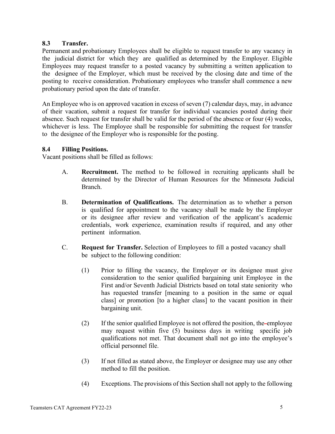# <span id="page-10-0"></span>**8.3 Transfer.**

Permanent and probationary Employees shall be eligible to request transfer to any vacancy in the judicial district for which they are qualified as determined by the Employer. Eligible Employees may request transfer to a posted vacancy by submitting a written application to the designee of the Employer, which must be received by the closing date and time of the posting to receive consideration. Probationary employees who transfer shall commence a new probationary period upon the date of transfer.

An Employee who is on approved vacation in excess of seven (7) calendar days, may, in advance of their vacation, submit a request for transfer for individual vacancies posted during their absence. Such request for transfer shall be valid for the period of the absence or four (4) weeks, whichever is less. The Employee shall be responsible for submitting the request for transfer to the designee of the Employer who is responsible for the posting.

### <span id="page-10-1"></span>**8.4 Filling Positions.**

Vacant positions shall be filled as follows:

- A. **Recruitment.** The method to be followed in recruiting applicants shall be determined by the Director of Human Resources for the Minnesota Judicial Branch.
- B. **Determination of Qualifications.** The determination as to whether a person is qualified for appointment to the vacancy shall be made by the Employer or its designee after review and verification of the applicant's academic credentials, work experience, examination results if required, and any other pertinent information.
- C. **Request for Transfer.** Selection of Employees to fill a posted vacancy shall be subject to the following condition:
	- (1) Prior to filling the vacancy, the Employer or its designee must give consideration to the senior qualified bargaining unit Employee in the First and/or Seventh Judicial Districts based on total state seniority who has requested transfer [meaning to a position in the same or equal class] or promotion [to a higher class] to the vacant position in their bargaining unit.
	- (2) If the senior qualified Employee is not offered the position, the employee may request within five (5) business days in writing specific job qualifications not met. That document shall not go into the employee's official personnel file.
	- (3) If not filled as stated above, the Employer or designee may use any other method to fill the position.
	- (4) Exceptions. The provisions of this Section shall not apply to the following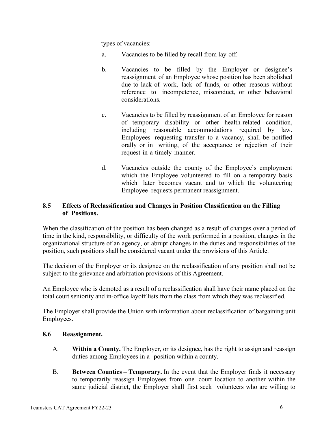types of vacancies:

- a. Vacancies to be filled by recall from lay-off.
- b. Vacancies to be filled by the Employer or designee's reassignment of an Employee whose position has been abolished due to lack of work, lack of funds, or other reasons without reference to incompetence, misconduct, or other behavioral considerations.
- c. Vacancies to be filled by reassignment of an Employee for reason of temporary disability or other health-related condition, including reasonable accommodations required by law. Employees requesting transfer to a vacancy, shall be notified orally or in writing, of the acceptance or rejection of their request in a timely manner.
- d. Vacancies outside the county of the Employee's employment which the Employee volunteered to fill on a temporary basis which later becomes vacant and to which the volunteering Employee requests permanent reassignment.

### <span id="page-11-0"></span>**8.5 Effects of Reclassification and Changes in Position Classification on the Filling of Positions.**

When the classification of the position has been changed as a result of changes over a period of time in the kind, responsibility, or difficulty of the work performed in a position, changes in the organizational structure of an agency, or abrupt changes in the duties and responsibilities of the position, such positions shall be considered vacant under the provisions of this Article.

The decision of the Employer or its designee on the reclassification of any position shall not be subject to the grievance and arbitration provisions of this Agreement.

An Employee who is demoted as a result of a reclassification shall have their name placed on the total court seniority and in-office layoff lists from the class from which they was reclassified.

The Employer shall provide the Union with information about reclassification of bargaining unit Employees.

#### <span id="page-11-1"></span>**8.6 Reassignment.**

- A. **Within a County.** The Employer, or its designee, has the right to assign and reassign duties among Employees in a position within a county.
- B. **Between Counties – Temporary.** In the event that the Employer finds it necessary to temporarily reassign Employees from one court location to another within the same judicial district, the Employer shall first seek volunteers who are willing to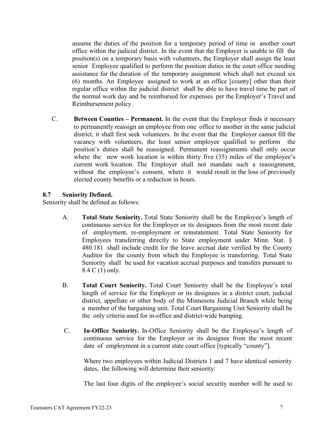assume the duties of the position for a temporary period of time in another court office within the judicial district. In the event that the Employer is unable to fill the position(s) on a temporary basis with volunteers, the Employer shall assign the least senior Employee qualified to perform the position duties in the court office needing assistance for the duration of the temporary assignment which shall not exceed six (6) months. An Employee assigned to work at an office [county] other than their regular office within the judicial district shall be able to have travel time be part of the normal work day and be reimbursed for expenses per the Employer's Travel and Reimbursement policy.

C. **Between Counties – Permanent.** In the event that the Employer finds it necessary to permanently reassign an employee from one office to another in the same judicial district, it shall first seek volunteers. In the event that the Employer cannot fill the vacancy with volunteers, the least senior employee qualified to perform the position's duties shall be reassigned. Permanent reassignments shall only occur where the new work location is within thirty five (35) miles of the employee's current work location. The Employer shall not mandate such a reassignment, without the employee's consent, where it would result in the loss of previously elected county benefits or a reduction in hours.

### <span id="page-12-0"></span>**8.7 Seniority Defined.**

Seniority shall be defined as follows:

- A. **Total State Seniority.** Total State Seniority shall be the Employee's length of continuous service for the Employer or its designees from the most recent date of employment, re-employment or reinstatement. Total State Seniority for Employees transferring directly to State employment under Minn. Stat. § 480.181 shall include credit for the leave accrual date verified by the County Auditor for the county from which the Employee is transferring. Total State Seniority shall be used for vacation accrual purposes and transfers pursuant to 8.4 C (1) only.
- B. **Total Court Seniority.** Total Court Seniority shall be the Employee's total length of service for the Employer or its designees in a district court, judicial district, appellate or other body of the Minnesota Judicial Branch while being a member of the bargaining unit. Total Court Bargaining Unit Seniority shall be the only criteria used for in-office and district-wide bumping.
- C. **In-Office Seniority.** In-Office Seniority shall be the Employee's length of continuous service for the Employer or its designee from the most recent date of employment in a current state court office [typically "county"].

Where two employees within Judicial Districts 1 and 7 have identical seniority dates, the following will determine their seniority:

The last four digits of the employee's social security number will be used to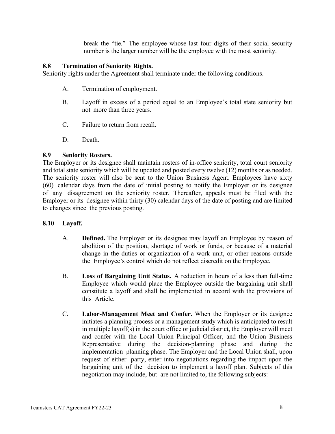break the "tie." The employee whose last four digits of their social security number is the larger number will be the employee with the most seniority.

#### <span id="page-13-0"></span>**8.8 Termination of Seniority Rights.**

Seniority rights under the Agreement shall terminate under the following conditions.

- A. Termination of employment.
- B. Layoff in excess of a period equal to an Employee's total state seniority but not more than three years.
- C. Failure to return from recall.
- D. Death.

### <span id="page-13-1"></span>**8.9 Seniority Rosters.**

The Employer or its designee shall maintain rosters of in-office seniority, total court seniority and total state seniority which will be updated and posted every twelve (12) months or as needed. The seniority roster will also be sent to the Union Business Agent. Employees have sixty (60) calendar days from the date of initial posting to notify the Employer or its designee of any disagreement on the seniority roster. Thereafter, appeals must be filed with the Employer or its designee within thirty (30) calendar days of the date of posting and are limited to changes since the previous posting.

# <span id="page-13-2"></span>**8.10 Layoff.**

- A. **Defined.** The Employer or its designee may layoff an Employee by reason of abolition of the position, shortage of work or funds, or because of a material change in the duties or organization of a work unit, or other reasons outside the Employee's control which do not reflect discredit on the Employee.
- B. **Loss of Bargaining Unit Status.** A reduction in hours of a less than full-time Employee which would place the Employee outside the bargaining unit shall constitute a layoff and shall be implemented in accord with the provisions of this Article.
- C. **Labor-Management Meet and Confer.** When the Employer or its designee initiates a planning process or a management study which is anticipated to result in multiple layoff(s) in the court office or judicial district, the Employer will meet and confer with the Local Union Principal Officer, and the Union Business Representative during the decision-planning phase and during the implementation planning phase. The Employer and the Local Union shall, upon request of either party, enter into negotiations regarding the impact upon the bargaining unit of the decision to implement a layoff plan. Subjects of this negotiation may include, but are not limited to, the following subjects: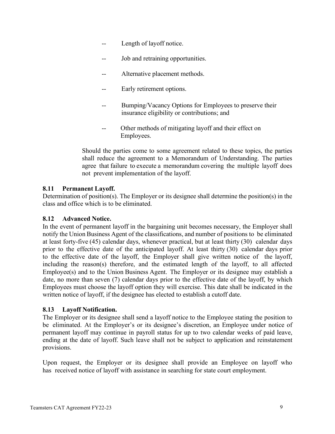- Length of layoff notice.
- -- Job and retraining opportunities.
- Alternative placement methods.
- -- Early retirement options.
- Bumping/Vacancy Options for Employees to preserve their insurance eligibility or contributions; and
- -- Other methods of mitigating layoff and their effect on Employees.

Should the parties come to some agreement related to these topics, the parties shall reduce the agreement to a Memorandum of Understanding. The parties agree that failure to execute a memorandum covering the multiple layoff does not prevent implementation of the layoff.

# <span id="page-14-0"></span>**8.11 Permanent Layoff.**

Determination of position(s). The Employer or its designee shall determine the position(s) in the class and office which is to be eliminated.

#### <span id="page-14-1"></span>**8.12 Advanced Notice.**

In the event of permanent layoff in the bargaining unit becomes necessary, the Employer shall notify the Union Business Agent of the classifications, and number of positions to be eliminated at least forty-five (45) calendar days, whenever practical, but at least thirty (30) calendar days prior to the effective date of the anticipated layoff. At least thirty (30) calendar days prior to the effective date of the layoff, the Employer shall give written notice of the layoff, including the reason(s) therefore, and the estimated length of the layoff, to all affected Employee(s) and to the Union Business Agent. The Employer or its designee may establish a date, no more than seven (7) calendar days prior to the effective date of the layoff, by which Employees must choose the layoff option they will exercise. This date shall be indicated in the written notice of layoff, if the designee has elected to establish a cutoff date.

#### <span id="page-14-2"></span>**8.13 Layoff Notification.**

The Employer or its designee shall send a layoff notice to the Employee stating the position to be eliminated. At the Employer's or its designee's discretion, an Employee under notice of permanent layoff may continue in payroll status for up to two calendar weeks of paid leave, ending at the date of layoff. Such leave shall not be subject to application and reinstatement provisions.

Upon request, the Employer or its designee shall provide an Employee on layoff who has received notice of layoff with assistance in searching for state court employment.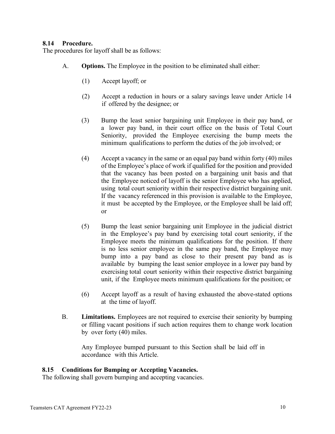#### <span id="page-15-0"></span>**8.14 Procedure.**

The procedures for layoff shall be as follows:

- A. **Options.** The Employee in the position to be eliminated shall either:
	- (1) Accept layoff; or
	- (2) Accept a reduction in hours or a salary savings leave under Article 14 if offered by the designee; or
	- (3) Bump the least senior bargaining unit Employee in their pay band, or a lower pay band, in their court office on the basis of Total Court Seniority, provided the Employee exercising the bump meets the minimum qualifications to perform the duties of the job involved; or
	- (4) Accept a vacancy in the same or an equal pay band within forty (40) miles of the Employee's place of work if qualified for the position and provided that the vacancy has been posted on a bargaining unit basis and that the Employee noticed of layoff is the senior Employee who has applied, using total court seniority within their respective district bargaining unit. If the vacancy referenced in this provision is available to the Employee, it must be accepted by the Employee, or the Employee shall be laid off; or
	- (5) Bump the least senior bargaining unit Employee in the judicial district in the Employee's pay band by exercising total court seniority, if the Employee meets the minimum qualifications for the position. If there is no less senior employee in the same pay band, the Employee may bump into a pay band as close to their present pay band as is available by bumping the least senior employee in a lower pay band by exercising total court seniority within their respective district bargaining unit, if the Employee meets minimum qualifications for the position; or
	- (6) Accept layoff as a result of having exhausted the above-stated options at the time of layoff.
- B. **Limitations.** Employees are not required to exercise their seniority by bumping or filling vacant positions if such action requires them to change work location by over forty (40) miles.

Any Employee bumped pursuant to this Section shall be laid off in accordance with this Article.

# <span id="page-15-1"></span>**8.15 Conditions for Bumping or Accepting Vacancies.**

The following shall govern bumping and accepting vacancies.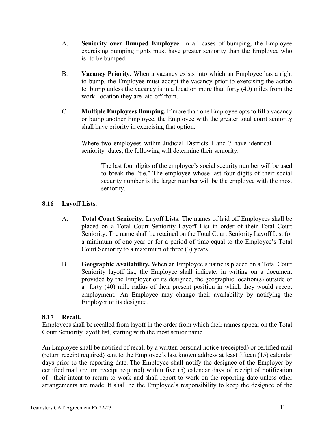- A. **Seniority over Bumped Employee.** In all cases of bumping, the Employee exercising bumping rights must have greater seniority than the Employee who is to be bumped.
- B. **Vacancy Priority.** When a vacancy exists into which an Employee has a right to bump, the Employee must accept the vacancy prior to exercising the action to bump unless the vacancy is in a location more than forty (40) miles from the work location they are laid off from.
- C. **Multiple Employees Bumping.** If more than one Employee opts to fill a vacancy or bump another Employee, the Employee with the greater total court seniority shall have priority in exercising that option.

Where two employees within Judicial Districts 1 and 7 have identical seniority dates, the following will determine their seniority:

> The last four digits of the employee's social security number will be used to break the "tie." The employee whose last four digits of their social security number is the larger number will be the employee with the most seniority.

# <span id="page-16-0"></span>**8.16 Layoff Lists.**

- A. **Total Court Seniority.** Layoff Lists. The names of laid off Employees shall be placed on a Total Court Seniority Layoff List in order of their Total Court Seniority. The name shall be retained on the Total Court Seniority Layoff List for a minimum of one year or for a period of time equal to the Employee's Total Court Seniority to a maximum of three (3) years.
- B. **Geographic Availability.** When an Employee's name is placed on a Total Court Seniority layoff list, the Employee shall indicate, in writing on a document provided by the Employer or its designee, the geographic location(s) outside of a forty (40) mile radius of their present position in which they would accept employment. An Employee may change their availability by notifying the Employer or its designee.

# <span id="page-16-1"></span>**8.17 Recall.**

Employees shall be recalled from layoff in the order from which their names appear on the Total Court Seniority layoff list, starting with the most senior name.

An Employee shall be notified of recall by a written personal notice (receipted) or certified mail (return receipt required) sent to the Employee's last known address at least fifteen (15) calendar days prior to the reporting date. The Employee shall notify the designee of the Employer by certified mail (return receipt required) within five (5) calendar days of receipt of notification of their intent to return to work and shall report to work on the reporting date unless other arrangements are made. It shall be the Employee's responsibility to keep the designee of the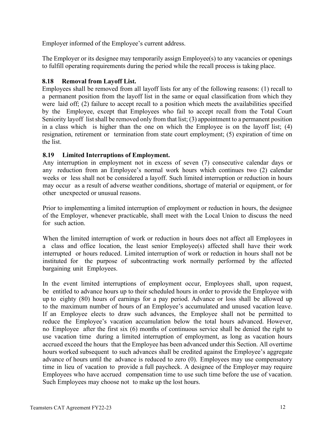Employer informed of the Employee's current address.

The Employer or its designee may temporarily assign Employee(s) to any vacancies or openings to fulfill operating requirements during the period while the recall process is taking place.

# <span id="page-17-0"></span>**8.18 Removal from Layoff List.**

Employees shall be removed from all layoff lists for any of the following reasons: (1) recall to a permanent position from the layoff list in the same or equal classification from which they were laid off; (2) failure to accept recall to a position which meets the availabilities specified by the Employee, except that Employees who fail to accept recall from the Total Court Seniority layoff list shall be removed only from that list; (3) appointment to a permanent position in a class which is higher than the one on which the Employee is on the layoff list; (4) resignation, retirement or termination from state court employment; (5) expiration of time on the list.

### <span id="page-17-1"></span>**8.19 Limited Interruptions of Employment.**

Any interruption in employment not in excess of seven (7) consecutive calendar days or any reduction from an Employee's normal work hours which continues two (2) calendar weeks or less shall not be considered a layoff. Such limited interruption or reduction in hours may occur as a result of adverse weather conditions, shortage of material or equipment, or for other unexpected or unusual reasons.

Prior to implementing a limited interruption of employment or reduction in hours, the designee of the Employer, whenever practicable, shall meet with the Local Union to discuss the need for such action.

When the limited interruption of work or reduction in hours does not affect all Employees in a class and office location, the least senior  $Employe(s)$  affected shall have their work interrupted or hours reduced. Limited interruption of work or reduction in hours shall not be instituted for the purpose of subcontracting work normally performed by the affected bargaining unit Employees.

In the event limited interruptions of employment occur, Employees shall, upon request, be entitled to advance hours up to their scheduled hours in order to provide the Employee with up to eighty (80) hours of earnings for a pay period. Advance or loss shall be allowed up to the maximum number of hours of an Employee's accumulated and unused vacation leave. If an Employee elects to draw such advances, the Employee shall not be permitted to reduce the Employee's vacation accumulation below the total hours advanced. However, no Employee after the first six (6) months of continuous service shall be denied the right to use vacation time during a limited interruption of employment, as long as vacation hours accrued exceed the hours that the Employee has been advanced under this Section. All overtime hours worked subsequent to such advances shall be credited against the Employee's aggregate advance of hours until the advance is reduced to zero (0). Employees may use compensatory time in lieu of vacation to provide a full paycheck. A designee of the Employer may require Employees who have accrued compensation time to use such time before the use of vacation. Such Employees may choose not to make up the lost hours.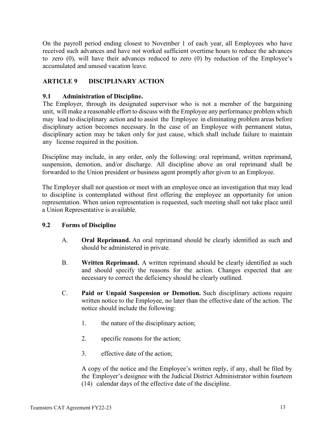On the payroll period ending closest to November 1 of each year, all Employees who have received such advances and have not worked sufficient overtime hours to reduce the advances to zero (0), will have their advances reduced to zero (0) by reduction of the Employee's accumulated and unused vacation leave.

# <span id="page-18-0"></span>**ARTICLE 9 DISCIPLINARY ACTION**

### <span id="page-18-1"></span>**9.1 Administration of Discipline.**

The Employer, through its designated supervisor who is not a member of the bargaining unit, will make a reasonable effort to discuss with the Employee any performance problem which may lead to disciplinary action and to assist the Employee in eliminating problem areas before disciplinary action becomes necessary. In the case of an Employee with permanent status, disciplinary action may be taken only for just cause, which shall include failure to maintain any license required in the position.

Discipline may include, in any order, only the following: oral reprimand, written reprimand, suspension, demotion, and/or discharge. All discipline above an oral reprimand shall be forwarded to the Union president or business agent promptly after given to an Employee.

The Employer shall not question or meet with an employee once an investigation that may lead to discipline is contemplated without first offering the employee an opportunity for union representation. When union representation is requested, such meeting shall not take place until a Union Representative is available.

#### <span id="page-18-2"></span>**9.2 Forms of Discipline**

- A. **Oral Reprimand.** An oral reprimand should be clearly identified as such and should be administered in private.
- B. **Written Reprimand.** A written reprimand should be clearly identified as such and should specify the reasons for the action. Changes expected that are necessary to correct the deficiency should be clearly outlined.
- C. **Paid or Unpaid Suspension or Demotion.** Such disciplinary actions require written notice to the Employee, no later than the effective date of the action. The notice should include the following:
	- 1. the nature of the disciplinary action;
	- 2. specific reasons for the action;
	- 3. effective date of the action;

A copy of the notice and the Employee's written reply, if any, shall be filed by the Employer's designee with the Judicial District Administrator within fourteen (14) calendar days of the effective date of the discipline.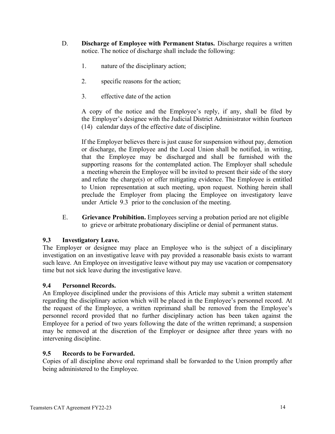- D. **Discharge of Employee with Permanent Status.** Discharge requires a written notice. The notice of discharge shall include the following:
	- 1. nature of the disciplinary action;
	- 2. specific reasons for the action;
	- 3. effective date of the action

A copy of the notice and the Employee's reply, if any, shall be filed by the Employer's designee with the Judicial District Administrator within fourteen (14) calendar days of the effective date of discipline.

If the Employer believes there is just cause for suspension without pay, demotion or discharge, the Employee and the Local Union shall be notified, in writing, that the Employee may be discharged and shall be furnished with the supporting reasons for the contemplated action. The Employer shall schedule a meeting wherein the Employee will be invited to present their side of the story and refute the charge(s) or offer mitigating evidence. The Employee is entitled to Union representation at such meeting, upon request. Nothing herein shall preclude the Employer from placing the Employee on investigatory leave under Article 9.3 prior to the conclusion of the meeting.

E. **Grievance Prohibition.** Employees serving a probation period are not eligible to grieve or arbitrate probationary discipline or denial of permanent status.

#### <span id="page-19-0"></span>**9.3 Investigatory Leave.**

The Employer or designee may place an Employee who is the subject of a disciplinary investigation on an investigative leave with pay provided a reasonable basis exists to warrant such leave. An Employee on investigative leave without pay may use vacation or compensatory time but not sick leave during the investigative leave.

# <span id="page-19-1"></span>**9.4 Personnel Records.**

An Employee disciplined under the provisions of this Article may submit a written statement regarding the disciplinary action which will be placed in the Employee's personnel record. At the request of the Employee, a written reprimand shall be removed from the Employee's personnel record provided that no further disciplinary action has been taken against the Employee for a period of two years following the date of the written reprimand; a suspension may be removed at the discretion of the Employer or designee after three years with no intervening discipline.

#### <span id="page-19-2"></span>**9.5 Records to be Forwarded.**

Copies of all discipline above oral reprimand shall be forwarded to the Union promptly after being administered to the Employee.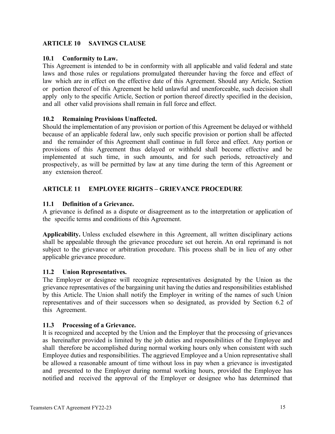# <span id="page-20-0"></span>**ARTICLE 10 SAVINGS CLAUSE**

# <span id="page-20-1"></span>**10.1 Conformity to Law.**

This Agreement is intended to be in conformity with all applicable and valid federal and state laws and those rules or regulations promulgated thereunder having the force and effect of law which are in effect on the effective date of this Agreement. Should any Article, Section or portion thereof of this Agreement be held unlawful and unenforceable, such decision shall apply only to the specific Article, Section or portion thereof directly specified in the decision, and all other valid provisions shall remain in full force and effect.

# <span id="page-20-2"></span>**10.2 Remaining Provisions Unaffected.**

Should the implementation of any provision or portion of this Agreement be delayed or withheld because of an applicable federal law, only such specific provision or portion shall be affected and the remainder of this Agreement shall continue in full force and effect. Any portion or provisions of this Agreement thus delayed or withheld shall become effective and be implemented at such time, in such amounts, and for such periods, retroactively and prospectively, as will be permitted by law at any time during the term of this Agreement or any extension thereof.

# <span id="page-20-3"></span>**ARTICLE 11 EMPLOYEE RIGHTS – GRIEVANCE PROCEDURE**

# <span id="page-20-4"></span>**11.1 Definition of a Grievance.**

A grievance is defined as a dispute or disagreement as to the interpretation or application of the specific terms and conditions of this Agreement.

**Applicability.** Unless excluded elsewhere in this Agreement, all written disciplinary actions shall be appealable through the grievance procedure set out herein. An oral reprimand is not subject to the grievance or arbitration procedure. This process shall be in lieu of any other applicable grievance procedure.

# <span id="page-20-5"></span>**11.2 Union Representatives.**

The Employer or designee will recognize representatives designated by the Union as the grievance representatives of the bargaining unit having the duties and responsibilities established by this Article. The Union shall notify the Employer in writing of the names of such Union representatives and of their successors when so designated, as provided by Section 6.2 of this Agreement.

# <span id="page-20-6"></span>**11.3 Processing of a Grievance.**

It is recognized and accepted by the Union and the Employer that the processing of grievances as hereinafter provided is limited by the job duties and responsibilities of the Employee and shall therefore be accomplished during normal working hours only when consistent with such Employee duties and responsibilities. The aggrieved Employee and a Union representative shall be allowed a reasonable amount of time without loss in pay when a grievance is investigated and presented to the Employer during normal working hours, provided the Employee has notified and received the approval of the Employer or designee who has determined that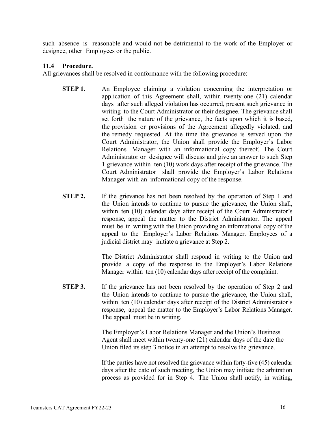such absence is reasonable and would not be detrimental to the work of the Employer or designee, other Employees or the public.

### <span id="page-21-0"></span>**11.4 Procedure.**

All grievances shall be resolved in conformance with the following procedure:

- **STEP 1.** An Employee claiming a violation concerning the interpretation or application of this Agreement shall, within twenty-one (21) calendar days after such alleged violation has occurred, present such grievance in writing to the Court Administrator or their designee. The grievance shall set forth the nature of the grievance, the facts upon which it is based, the provision or provisions of the Agreement allegedly violated, and the remedy requested. At the time the grievance is served upon the Court Administrator, the Union shall provide the Employer's Labor Relations Manager with an informational copy thereof. The Court Administrator or designee will discuss and give an answer to such Step 1 grievance within ten (10) work days after receipt of the grievance. The Court Administrator shall provide the Employer's Labor Relations Manager with an informational copy of the response.
- **STEP 2.** If the grievance has not been resolved by the operation of Step 1 and the Union intends to continue to pursue the grievance, the Union shall, within ten (10) calendar days after receipt of the Court Administrator's response, appeal the matter to the District Administrator. The appeal must be in writing with the Union providing an informational copy of the appeal to the Employer's Labor Relations Manager. Employees of a judicial district may initiate a grievance at Step 2.

The District Administrator shall respond in writing to the Union and provide a copy of the response to the Employer's Labor Relations Manager within ten (10) calendar days after receipt of the complaint.

**STEP 3.** If the grievance has not been resolved by the operation of Step 2 and the Union intends to continue to pursue the grievance, the Union shall, within ten (10) calendar days after receipt of the District Administrator's response, appeal the matter to the Employer's Labor Relations Manager. The appeal must be in writing.

> The Employer's Labor Relations Manager and the Union's Business Agent shall meet within twenty-one (21) calendar days of the date the Union filed its step 3 notice in an attempt to resolve the grievance.

If the parties have not resolved the grievance within forty-five (45) calendar days after the date of such meeting, the Union may initiate the arbitration process as provided for in Step 4. The Union shall notify, in writing,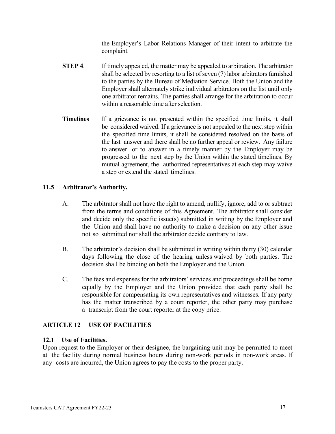the Employer's Labor Relations Manager of their intent to arbitrate the complaint.

- **STEP 4**. If timely appealed, the matter may be appealed to arbitration. The arbitrator shall be selected by resorting to a list of seven  $(7)$  labor arbitrators furnished to the parties by the Bureau of Mediation Service. Both the Union and the Employer shall alternately strike individual arbitrators on the list until only one arbitrator remains. The parties shall arrange for the arbitration to occur within a reasonable time after selection.
- **Timelines** If a grievance is not presented within the specified time limits, it shall be considered waived. If a grievance is not appealed to the next step within the specified time limits, it shall be considered resolved on the basis of the last answer and there shall be no further appeal or review. Any failure to answer or to answer in a timely manner by the Employer may be progressed to the next step by the Union within the stated timelines. By mutual agreement, the authorized representatives at each step may waive a step or extend the stated timelines.

# <span id="page-22-0"></span>**11.5 Arbitrator's Authority.**

- A. The arbitrator shall not have the right to amend, nullify, ignore, add to or subtract from the terms and conditions of this Agreement. The arbitrator shall consider and decide only the specific issue(s) submitted in writing by the Employer and the Union and shall have no authority to make a decision on any other issue not so submitted nor shall the arbitrator decide contrary to law.
- B. The arbitrator's decision shall be submitted in writing within thirty (30) calendar days following the close of the hearing unless waived by both parties. The decision shall be binding on both the Employer and the Union.
- C. The fees and expenses for the arbitrators' services and proceedings shall be borne equally by the Employer and the Union provided that each party shall be responsible for compensating its own representatives and witnesses. If any party has the matter transcribed by a court reporter, the other party may purchase a transcript from the court reporter at the copy price.

# <span id="page-22-1"></span>**ARTICLE 12 USE OF FACILITIES**

# <span id="page-22-2"></span>**12.1 Use of Facilities.**

Upon request to the Employer or their designee, the bargaining unit may be permitted to meet at the facility during normal business hours during non-work periods in non-work areas. If any costs are incurred, the Union agrees to pay the costs to the proper party.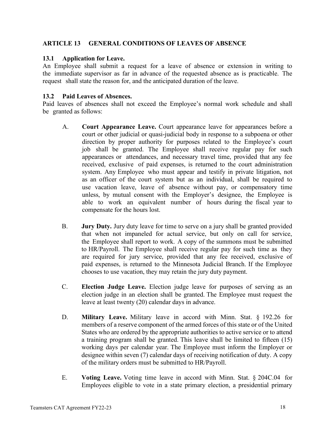# <span id="page-23-0"></span>**ARTICLE 13 GENERAL CONDITIONS OF LEAVES OF ABSENCE**

#### <span id="page-23-1"></span>**13.1 Application for Leave.**

An Employee shall submit a request for a leave of absence or extension in writing to the immediate supervisor as far in advance of the requested absence as is practicable. The request shall state the reason for, and the anticipated duration of the leave.

#### <span id="page-23-2"></span>**13.2 Paid Leaves of Absences.**

Paid leaves of absences shall not exceed the Employee's normal work schedule and shall be granted as follows:

- A. **Court Appearance Leave.** Court appearance leave for appearances before a court or other judicial or quasi-judicial body in response to a subpoena or other direction by proper authority for purposes related to the Employee's court job shall be granted. The Employee shall receive regular pay for such appearances or attendances, and necessary travel time, provided that any fee received, exclusive of paid expenses, is returned to the court administration system. Any Employee who must appear and testify in private litigation, not as an officer of the court system but as an individual, shall be required to use vacation leave, leave of absence without pay, or compensatory time unless, by mutual consent with the Employer's designee, the Employee is able to work an equivalent number of hours during the fiscal year to compensate for the hours lost.
- B. **Jury Duty.** Jury duty leave for time to serve on a jury shall be granted provided that when not impaneled for actual service, but only on call for service, the Employee shall report to work. A copy of the summons must be submitted to HR/Payroll. The Employee shall receive regular pay for such time as they are required for jury service, provided that any fee received, exclusive of paid expenses, is returned to the Minnesota Judicial Branch. If the Employee chooses to use vacation, they may retain the jury duty payment.
- C. **Election Judge Leave.** Election judge leave for purposes of serving as an election judge in an election shall be granted. The Employee must request the leave at least twenty (20) calendar days in advance.
- D. **Military Leave.** Military leave in accord with Minn. Stat. § 192.26 for members of a reserve component of the armed forces of this state or of the United States who are ordered by the appropriate authorities to active service or to attend a training program shall be granted. This leave shall be limited to fifteen (15) working days per calendar year. The Employee must inform the Employer or designee within seven (7) calendar days of receiving notification of duty. A copy of the military orders must be submitted to HR/Payroll.
- E. **Voting Leave.** Voting time leave in accord with Minn. Stat. § 204C.04 for Employees eligible to vote in a state primary election, a presidential primary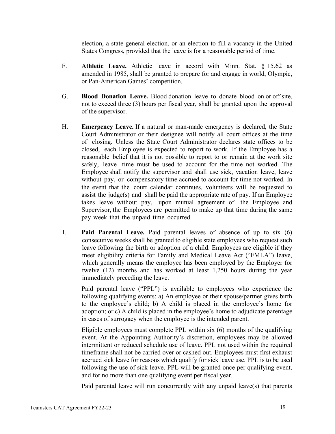election, a state general election, or an election to fill a vacancy in the United States Congress, provided that the leave is for a reasonable period of time.

- F. **Athletic Leave.** Athletic leave in accord with Minn. Stat. § 15.62 as amended in 1985, shall be granted to prepare for and engage in world, Olympic, or Pan-American Games' competition.
- G. **Blood Donation Leave.** Blood donation leave to donate blood on or off site, not to exceed three (3) hours per fiscal year, shall be granted upon the approval of the supervisor.
- H. **Emergency Leave.** If a natural or man-made emergency is declared, the State Court Administrator or their designee will notify all court offices at the time of closing. Unless the State Court Administrator declares state offices to be closed, each Employee is expected to report to work. If the Employee has a reasonable belief that it is not possible to report to or remain at the work site safely, leave time must be used to account for the time not worked. The Employee shall notify the supervisor and shall use sick, vacation leave, leave without pay, or compensatory time accrued to account for time not worked. In the event that the court calendar continues, volunteers will be requested to assist the judge(s) and shall be paid the appropriate rate of pay. If an Employee takes leave without pay, upon mutual agreement of the Employee and Supervisor, the Employees are permitted to make up that time during the same pay week that the unpaid time occurred.
- I. **Paid Parental Leave.** Paid parental leaves of absence of up to six (6) consecutive weeks shall be granted to eligible state employees who request such leave following the birth or adoption of a child. Employees are eligible if they meet eligibility criteria for Family and Medical Leave Act ("FMLA") leave, which generally means the employee has been employed by the Employer for twelve (12) months and has worked at least 1,250 hours during the year immediately preceding the leave.

Paid parental leave ("PPL") is available to employees who experience the following qualifying events: a) An employee or their spouse/partner gives birth to the employee's child; b) A child is placed in the employee's home for adoption; or c) A child is placed in the employee's home to adjudicate parentage in cases of surrogacy when the employee is the intended parent.

Eligible employees must complete PPL within six (6) months of the qualifying event. At the Appointing Authority's discretion, employees may be allowed intermittent or reduced schedule use of leave. PPL not used within the required timeframe shall not be carried over or cashed out. Employees must first exhaust accrued sick leave for reasons which qualify for sick leave use. PPL is to be used following the use of sick leave. PPL will be granted once per qualifying event, and for no more than one qualifying event per fiscal year.

Paid parental leave will run concurrently with any unpaid leave(s) that parents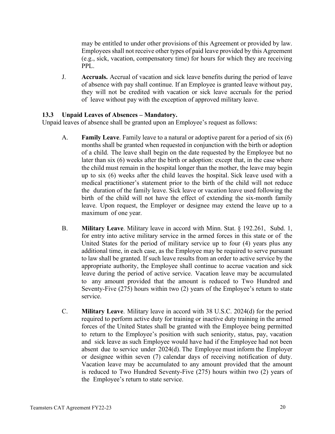may be entitled to under other provisions of this Agreement or provided by law. Employees shall not receive other types of paid leave provided by this Agreement (e.g., sick, vacation, compensatory time) for hours for which they are receiving PPL.

J. **Accruals.** Accrual of vacation and sick leave benefits during the period of leave of absence with pay shall continue. If an Employee is granted leave without pay, they will not be credited with vacation or sick leave accruals for the period of leave without pay with the exception of approved military leave.

# <span id="page-25-0"></span>**13.3 Unpaid Leaves of Absences – Mandatory.**

Unpaid leaves of absence shall be granted upon an Employee's request as follows:

- A. **Family Leave**. Family leave to a natural or adoptive parent for a period of six (6) months shall be granted when requested in conjunction with the birth or adoption of a child. The leave shall begin on the date requested by the Employee but no later than six (6) weeks after the birth or adoption: except that, in the case where the child must remain in the hospital longer than the mother, the leave may begin up to six (6) weeks after the child leaves the hospital. Sick leave used with a medical practitioner's statement prior to the birth of the child will not reduce the duration of the family leave. Sick leave or vacation leave used following the birth of the child will not have the effect of extending the six-month family leave. Upon request, the Employer or designee may extend the leave up to a maximum of one year.
- B. **Military Leave**. Military leave in accord with Minn. Stat. § 192.261, Subd. 1, for entry into active military service in the armed forces in this state or of the United States for the period of military service up to four (4) years plus any additional time, in each case, as the Employee may be required to serve pursuant to law shall be granted. If such leave results from an order to active service by the appropriate authority, the Employee shall continue to accrue vacation and sick leave during the period of active service. Vacation leave may be accumulated to any amount provided that the amount is reduced to Two Hundred and Seventy-Five (275) hours within two (2) years of the Employee's return to state service.
- C. **Military Leave**. Military leave in accord with 38 U.S.C. 2024(d) for the period required to perform active duty for training or inactive duty training in the armed forces of the United States shall be granted with the Employee being permitted to return to the Employee's position with such seniority, status, pay, vacation and sick leave as such Employee would have had if the Employee had not been absent due to service under 2024(d). The Employee must inform the Employer or designee within seven (7) calendar days of receiving notification of duty. Vacation leave may be accumulated to any amount provided that the amount is reduced to Two Hundred Seventy-Five (275) hours within two (2) years of the Employee's return to state service.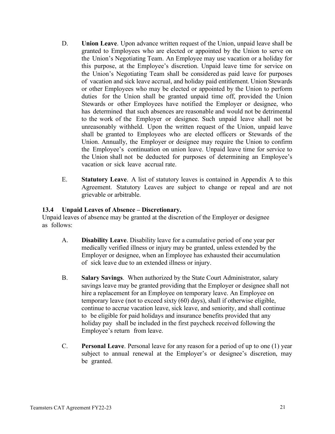- D. **Union Leave**. Upon advance written request of the Union, unpaid leave shall be granted to Employees who are elected or appointed by the Union to serve on the Union's Negotiating Team. An Employee may use vacation or a holiday for this purpose, at the Employee's discretion. Unpaid leave time for service on the Union's Negotiating Team shall be considered as paid leave for purposes of vacation and sick leave accrual, and holiday paid entitlement. Union Stewards or other Employees who may be elected or appointed by the Union to perform duties for the Union shall be granted unpaid time off, provided the Union Stewards or other Employees have notified the Employer or designee, who has determined that such absences are reasonable and would not be detrimental to the work of the Employer or designee. Such unpaid leave shall not be unreasonably withheld. Upon the written request of the Union, unpaid leave shall be granted to Employees who are elected officers or Stewards of the Union. Annually, the Employer or designee may require the Union to confirm the Employee's continuation on union leave. Unpaid leave time for service to the Union shall not be deducted for purposes of determining an Employee's vacation or sick leave accrual rate.
- E. **Statutory Leave**. A list of statutory leaves is contained in Appendix A to this Agreement. Statutory Leaves are subject to change or repeal and are not grievable or arbitrable.

### <span id="page-26-0"></span>**13.4 Unpaid Leaves of Absence – Discretionary.**

Unpaid leaves of absence may be granted at the discretion of the Employer or designee as follows:

- A. **Disability Leave**. Disability leave for a cumulative period of one year per medically verified illness or injury may be granted, unless extended by the Employer or designee, when an Employee has exhausted their accumulation of sick leave due to an extended illness or injury.
- B. **Salary Savings**. When authorized by the State Court Administrator, salary savings leave may be granted providing that the Employer or designee shall not hire a replacement for an Employee on temporary leave. An Employee on temporary leave (not to exceed sixty (60) days), shall if otherwise eligible, continue to accrue vacation leave, sick leave, and seniority, and shall continue to be eligible for paid holidays and insurance benefits provided that any holiday pay shall be included in the first paycheck received following the Employee's return from leave.
- C. **Personal Leave**. Personal leave for any reason for a period of up to one (1) year subject to annual renewal at the Employer's or designee's discretion, may be granted.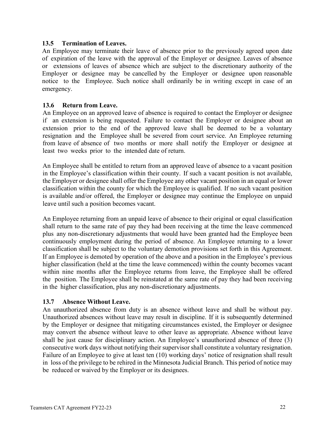#### <span id="page-27-0"></span>**13.5 Termination of Leaves.**

An Employee may terminate their leave of absence prior to the previously agreed upon date of expiration of the leave with the approval of the Employer or designee. Leaves of absence or extensions of leaves of absence which are subject to the discretionary authority of the Employer or designee may be cancelled by the Employer or designee upon reasonable notice to the Employee. Such notice shall ordinarily be in writing except in case of an emergency.

#### <span id="page-27-1"></span>**13.6 Return from Leave.**

An Employee on an approved leave of absence is required to contact the Employer or designee if an extension is being requested. Failure to contact the Employer or designee about an extension prior to the end of the approved leave shall be deemed to be a voluntary resignation and the Employee shall be severed from court service. An Employee returning from leave of absence of two months or more shall notify the Employer or designee at least two weeks prior to the intended date of return.

An Employee shall be entitled to return from an approved leave of absence to a vacant position in the Employee's classification within their county. If such a vacant position is not available, the Employer or designee shall offer the Employee any other vacant position in an equal or lower classification within the county for which the Employee is qualified. If no such vacant position is available and/or offered, the Employer or designee may continue the Employee on unpaid leave until such a position becomes vacant.

An Employee returning from an unpaid leave of absence to their original or equal classification shall return to the same rate of pay they had been receiving at the time the leave commenced plus any non-discretionary adjustments that would have been granted had the Employee been continuously employment during the period of absence. An Employee returning to a lower classification shall be subject to the voluntary demotion provisions set forth in this Agreement. If an Employee is demoted by operation of the above and a position in the Employee's previous higher classification (held at the time the leave commenced) within the county becomes vacant within nine months after the Employee returns from leave, the Employee shall be offered the position. The Employee shall be reinstated at the same rate of pay they had been receiving in the higher classification, plus any non-discretionary adjustments.

#### <span id="page-27-2"></span>**13.7 Absence Without Leave.**

An unauthorized absence from duty is an absence without leave and shall be without pay. Unauthorized absences without leave may result in discipline. If it is subsequently determined by the Employer or designee that mitigating circumstances existed, the Employer or designee may convert the absence without leave to other leave as appropriate. Absence without leave shall be just cause for disciplinary action. An Employee's unauthorized absence of three (3) consecutive work days without notifying their supervisor shall constitute a voluntary resignation. Failure of an Employee to give at least ten (10) working days' notice of resignation shall result in loss of the privilege to be rehired in the Minnesota Judicial Branch. This period of notice may be reduced or waived by the Employer or its designees.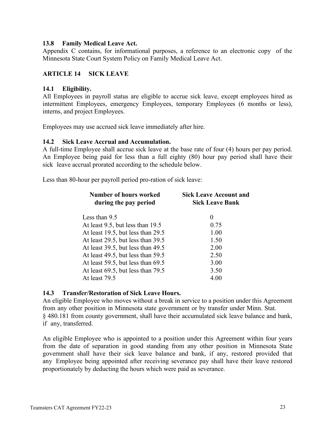#### <span id="page-28-0"></span>**13.8 Family Medical Leave Act.**

Appendix C contains, for informational purposes, a reference to an electronic copy of the Minnesota State Court System Policy on Family Medical Leave Act.

# <span id="page-28-1"></span>**ARTICLE 14 SICK LEAVE**

#### <span id="page-28-2"></span>**14.1 Eligibility.**

All Employees in payroll status are eligible to accrue sick leave, except employees hired as intermittent Employees, emergency Employees, temporary Employees (6 months or less), interns, and project Employees.

Employees may use accrued sick leave immediately after hire.

#### <span id="page-28-3"></span>**14.2 Sick Leave Accrual and Accumulation.**

A full-time Employee shall accrue sick leave at the base rate of four (4) hours per pay period. An Employee being paid for less than a full eighty (80) hour pay period shall have their sick leave accrual prorated according to the schedule below.

Less than 80-hour per payroll period pro-ration of sick leave:

| <b>Number of hours worked</b><br>during the pay period | <b>Sick Leave Account and</b><br><b>Sick Leave Bank</b> |  |  |  |
|--------------------------------------------------------|---------------------------------------------------------|--|--|--|
| Less than 9.5                                          | $\theta$                                                |  |  |  |
| At least 9.5, but less than 19.5                       | 0.75                                                    |  |  |  |
| At least 19.5, but less than 29.5                      | 1.00                                                    |  |  |  |
| At least 29.5, but less than 39.5                      | 1.50                                                    |  |  |  |
| At least 39.5, but less than 49.5                      | 2.00                                                    |  |  |  |
| At least 49.5, but less than 59.5                      | 2.50                                                    |  |  |  |
| At least 59.5, but less than 69.5                      | 3.00                                                    |  |  |  |
| At least 69.5, but less than 79.5                      | 3.50                                                    |  |  |  |
| At least 79.5                                          | 4.00                                                    |  |  |  |
|                                                        |                                                         |  |  |  |

# <span id="page-28-4"></span>**14.3 Transfer/Restoration of Sick Leave Hours.**

An eligible Employee who moves without a break in service to a position under this Agreement from any other position in Minnesota state government or by transfer under Minn. Stat. § 480.181 from county government, shall have their accumulated sick leave balance and bank, if any, transferred.

An eligible Employee who is appointed to a position under this Agreement within four years from the date of separation in good standing from any other position in Minnesota State government shall have their sick leave balance and bank, if any, restored provided that any Employee being appointed after receiving severance pay shall have their leave restored proportionately by deducting the hours which were paid as severance.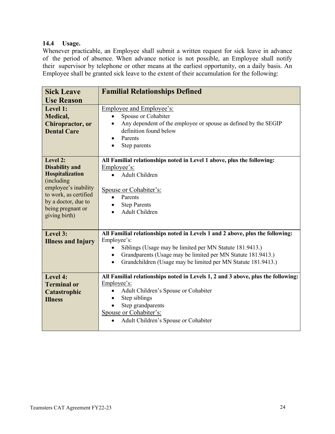# <span id="page-29-0"></span>**14.4 Usage.**

Whenever practicable, an Employee shall submit a written request for sick leave in advance of the period of absence. When advance notice is not possible, an Employee shall notify their supervisor by telephone or other means at the earliest opportunity, on a daily basis. An Employee shall be granted sick leave to the extent of their accumulation for the following:

| <b>Sick Leave</b><br><b>Use Reason</b>                                                                                                                                           | <b>Familial Relationships Defined</b>                                                                                                                                                                                                                                                                                            |
|----------------------------------------------------------------------------------------------------------------------------------------------------------------------------------|----------------------------------------------------------------------------------------------------------------------------------------------------------------------------------------------------------------------------------------------------------------------------------------------------------------------------------|
| Level 1:<br>Medical,<br>Chiropractor, or<br><b>Dental Care</b>                                                                                                                   | Employee and Employee's:<br>Spouse or Cohabiter<br>$\bullet$<br>Any dependent of the employee or spouse as defined by the SEGIP<br>$\bullet$<br>definition found below<br>Parents<br>Step parents<br>$\bullet$                                                                                                                   |
| Level 2:<br><b>Disability and</b><br>Hospitalization<br>(including<br>employee's inability<br>to work, as certified<br>by a doctor, due to<br>being pregnant or<br>giving birth) | All Familial relationships noted in Level 1 above, plus the following:<br>Employee's:<br>Adult Children<br>$\bullet$<br>Spouse or Cohabiter's:<br>Parents<br>$\bullet$<br><b>Step Parents</b><br>٠<br>Adult Children                                                                                                             |
| Level 3:<br><b>Illness and Injury</b>                                                                                                                                            | All Familial relationships noted in Levels 1 and 2 above, plus the following:<br>Employee's:<br>Siblings (Usage may be limited per MN Statute 181.9413.)<br>$\bullet$<br>Grandparents (Usage may be limited per MN Statute 181.9413.)<br>$\bullet$<br>Grandchildren (Usage may be limited per MN Statute 181.9413.)<br>$\bullet$ |
| Level 4:<br><b>Terminal or</b><br>Catastrophic<br><b>Illness</b>                                                                                                                 | All Familial relationships noted in Levels 1, 2 and 3 above, plus the following:<br>Employee's:<br>Adult Children's Spouse or Cohabiter<br>$\bullet$<br>Step siblings<br>$\bullet$<br>Step grandparents<br>Spouse or Cohabiter's:<br>Adult Children's Spouse or Cohabiter                                                        |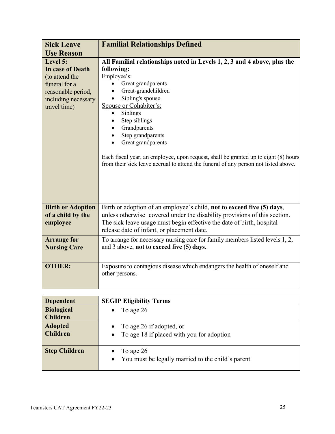| <b>Sick Leave</b>                                                                                                            | <b>Familial Relationships Defined</b>                                                                                                                                                                                                                                                                                                                                                                                                                                                                         |  |  |  |  |
|------------------------------------------------------------------------------------------------------------------------------|---------------------------------------------------------------------------------------------------------------------------------------------------------------------------------------------------------------------------------------------------------------------------------------------------------------------------------------------------------------------------------------------------------------------------------------------------------------------------------------------------------------|--|--|--|--|
| <b>Use Reason</b>                                                                                                            |                                                                                                                                                                                                                                                                                                                                                                                                                                                                                                               |  |  |  |  |
| Level 5:<br>In case of Death<br>(to attend the<br>funeral for a<br>reasonable period,<br>including necessary<br>travel time) | All Familial relationships noted in Levels 1, 2, 3 and 4 above, plus the<br>following:<br>Employee's:<br>Great grandparents<br>$\bullet$<br>Great-grandchildren<br>$\bullet$<br>Sibling's spouse<br>Spouse or Cohabiter's:<br>Siblings<br>$\bullet$<br>Step siblings<br>Grandparents<br>Step grandparents<br>Great grandparents<br>Each fiscal year, an employee, upon request, shall be granted up to eight (8) hours<br>from their sick leave accrual to attend the funeral of any person not listed above. |  |  |  |  |
| <b>Birth or Adoption</b><br>of a child by the<br>employee                                                                    | Birth or adoption of an employee's child, not to exceed five (5) days,<br>unless otherwise covered under the disability provisions of this section.<br>The sick leave usage must begin effective the date of birth, hospital<br>release date of infant, or placement date.                                                                                                                                                                                                                                    |  |  |  |  |
| <b>Arrange for</b><br><b>Nursing Care</b>                                                                                    | To arrange for necessary nursing care for family members listed levels 1, 2,<br>and 3 above, not to exceed five (5) days.                                                                                                                                                                                                                                                                                                                                                                                     |  |  |  |  |
| <b>OTHER:</b>                                                                                                                | Exposure to contagious disease which endangers the health of oneself and<br>other persons.                                                                                                                                                                                                                                                                                                                                                                                                                    |  |  |  |  |

| <b>Dependent</b>                     | <b>SEGIP Eligibility Terms</b>                                                                  |
|--------------------------------------|-------------------------------------------------------------------------------------------------|
| <b>Biological</b><br><b>Children</b> | To age 26<br>$\bullet$                                                                          |
| <b>Adopted</b><br><b>Children</b>    | To age 26 if adopted, or<br>$\bullet$<br>To age 18 if placed with you for adoption<br>$\bullet$ |
| <b>Step Children</b>                 | To age 26<br>$\bullet$<br>You must be legally married to the child's parent<br>$\bullet$        |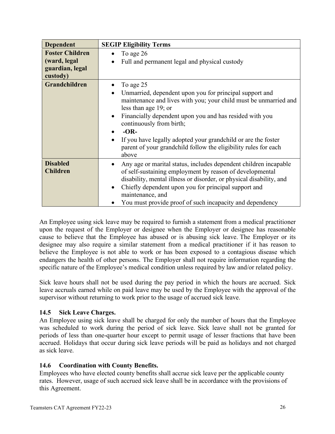| <b>Dependent</b>                                                      | <b>SEGIP Eligibility Terms</b>                                                                                                                                                                                                                                                                                                                                                                                                                                          |
|-----------------------------------------------------------------------|-------------------------------------------------------------------------------------------------------------------------------------------------------------------------------------------------------------------------------------------------------------------------------------------------------------------------------------------------------------------------------------------------------------------------------------------------------------------------|
| <b>Foster Children</b><br>(ward, legal<br>guardian, legal<br>custody) | To age 26<br>$\bullet$<br>Full and permanent legal and physical custody<br>$\bullet$                                                                                                                                                                                                                                                                                                                                                                                    |
| Grandchildren                                                         | To age 25<br>٠<br>Unmarried, dependent upon you for principal support and<br>$\bullet$<br>maintenance and lives with you; your child must be unmarried and<br>less than age 19; or<br>Financially dependent upon you and has resided with you<br>$\bullet$<br>continuously from birth;<br>$-OR-$<br>$\bullet$<br>If you have legally adopted your grandchild or are the foster<br>$\bullet$<br>parent of your grandchild follow the eligibility rules for each<br>above |
| <b>Disabled</b><br><b>Children</b>                                    | Any age or marital status, includes dependent children incapable<br>$\bullet$<br>of self-sustaining employment by reason of developmental<br>disability, mental illness or disorder, or physical disability, and<br>Chiefly dependent upon you for principal support and<br>$\bullet$<br>maintenance, and<br>You must provide proof of such incapacity and dependency                                                                                                   |

An Employee using sick leave may be required to furnish a statement from a medical practitioner upon the request of the Employer or designee when the Employer or designee has reasonable cause to believe that the Employee has abused or is abusing sick leave. The Employer or its designee may also require a similar statement from a medical practitioner if it has reason to believe the Employee is not able to work or has been exposed to a contagious disease which endangers the health of other persons. The Employer shall not require information regarding the specific nature of the Employee's medical condition unless required by law and/or related policy.

Sick leave hours shall not be used during the pay period in which the hours are accrued. Sick leave accruals earned while on paid leave may be used by the Employee with the approval of the supervisor without returning to work prior to the usage of accrued sick leave.

# <span id="page-31-0"></span>**14.5 Sick Leave Charges.**

An Employee using sick leave shall be charged for only the number of hours that the Employee was scheduled to work during the period of sick leave. Sick leave shall not be granted for periods of less than one-quarter hour except to permit usage of lesser fractions that have been accrued. Holidays that occur during sick leave periods will be paid as holidays and not charged as sick leave.

# <span id="page-31-1"></span>**14.6 Coordination with County Benefits.**

Employees who have elected county benefits shall accrue sick leave per the applicable county rates. However, usage of such accrued sick leave shall be in accordance with the provisions of this Agreement.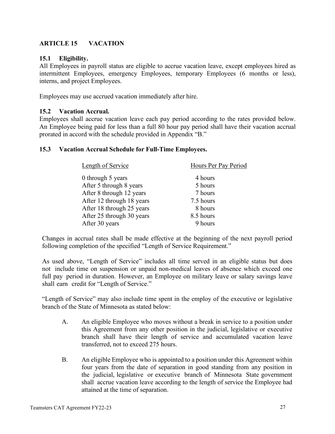# <span id="page-32-0"></span>**ARTICLE 15 VACATION**

# <span id="page-32-1"></span>**15.1 Eligibility.**

All Employees in payroll status are eligible to accrue vacation leave, except employees hired as intermittent Employees, emergency Employees, temporary Employees (6 months or less), interns, and project Employees.

Employees may use accrued vacation immediately after hire.

# <span id="page-32-2"></span>**15.2 Vacation Accrual.**

Employees shall accrue vacation leave each pay period according to the rates provided below. An Employee being paid for less than a full 80 hour pay period shall have their vacation accrual prorated in accord with the schedule provided in Appendix "B."

### <span id="page-32-3"></span>**15.3 Vacation Accrual Schedule for Full-Time Employees.**

| Length of Service         | Hours Per Pay Period |
|---------------------------|----------------------|
| 0 through 5 years         | 4 hours              |
| After 5 through 8 years   | 5 hours              |
| After 8 through 12 years  | 7 hours              |
| After 12 through 18 years | 7.5 hours            |
| After 18 through 25 years | 8 hours              |
| After 25 through 30 years | 8.5 hours            |
| After 30 years            | 9 hours              |

Changes in accrual rates shall be made effective at the beginning of the next payroll period following completion of the specified "Length of Service Requirement."

As used above, "Length of Service" includes all time served in an eligible status but does not include time on suspension or unpaid non-medical leaves of absence which exceed one full pay period in duration. However, an Employee on military leave or salary savings leave shall earn credit for "Length of Service."

"Length of Service" may also include time spent in the employ of the executive or legislative branch of the State of Minnesota as stated below:

- A. An eligible Employee who moves without a break in service to a position under this Agreement from any other position in the judicial, legislative or executive branch shall have their length of service and accumulated vacation leave transferred, not to exceed 275 hours.
- B. An eligible Employee who is appointed to a position under this Agreement within four years from the date of separation in good standing from any position in the judicial, legislative or executive branch of Minnesota State government shall accrue vacation leave according to the length of service the Employee had attained at the time of separation.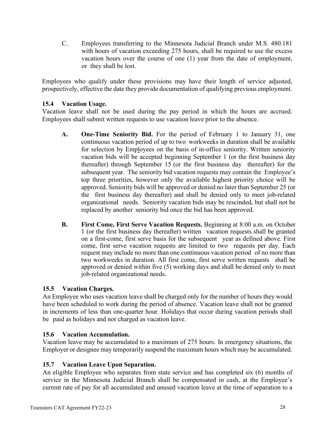C. Employees transferring to the Minnesota Judicial Branch under M.S. 480.181 with hours of vacation exceeding 275 hours, shall be required to use the excess vacation hours over the course of one (1) year from the date of employment, or they shall be lost.

Employees who qualify under these provisions may have their length of service adjusted, prospectively, effective the date they provide documentation of qualifying previous employment.

# <span id="page-33-0"></span>**15.4 Vacation Usage.**

Vacation leave shall not be used during the pay period in which the hours are accrued. Employees shall submit written requests to use vacation leave prior to the absence.

- **A. One-Time Seniority Bid.** For the period of February 1 to January 31, one continuous vacation period of up to two workweeks in duration shall be available for selection by Employees on the basis of in-office seniority. Written seniority vacation bids will be accepted beginning September 1 (or the first business day thereafter) through September 15 (or the first business day thereafter) for the subsequent year. The seniority bid vacation requests may contain the Employee's top three priorities, however only the available highest priority choice will be approved. Seniority bids will be approved or denied no later than September 25 (or the first business day thereafter) and shall be denied only to meet job-related organizational needs. Seniority vacation bids may be rescinded, but shall not be replaced by another seniority bid once the bid has been approved.
- **B. First Come, First Serve Vacation Requests.** Beginning at 8:00 a.m. on October 1 (or the first business day thereafter) written vacation requests shall be granted on a first-come, first serve basis for the subsequent year as defined above. First come, first serve vacation requests are limited to two requests per day. Each request may include no more than one continuous vacation period of no more than two workweeks in duration. All first come, first serve written requests shall be approved or denied within five (5) working days and shall be denied only to meet job-related organizational needs.

# <span id="page-33-1"></span>**15.5 Vacation Charges.**

An Employee who uses vacation leave shall be charged only for the number of hours they would have been scheduled to work during the period of absence. Vacation leave shall not be granted in increments of less than one-quarter hour. Holidays that occur during vacation periods shall be paid as holidays and not charged as vacation leave.

# <span id="page-33-2"></span>**15.6 Vacation Accumulation.**

Vacation leave may be accumulated to a maximum of 275 hours. In emergency situations, the Employer or designee may temporarily suspend the maximum hours which may be accumulated.

# <span id="page-33-3"></span>**15.7 Vacation Leave Upon Separation.**

An eligible Employee who separates from state service and has completed six (6) months of service in the Minnesota Judicial Branch shall be compensated in cash, at the Employee's current rate of pay for all accumulated and unused vacation leave at the time of separation to a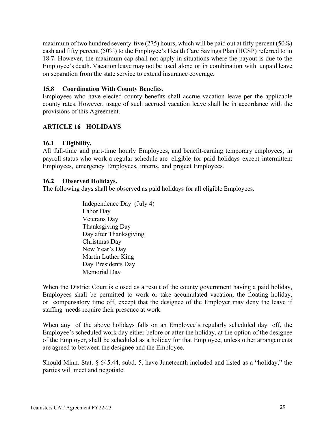maximum of two hundred seventy-five (275) hours, which will be paid out at fifty percent (50%) cash and fifty percent (50%) to the Employee's Health Care Savings Plan (HCSP) referred to in 18.7. However, the maximum cap shall not apply in situations where the payout is due to the Employee's death. Vacation leave may not be used alone or in combination with unpaid leave on separation from the state service to extend insurance coverage.

### <span id="page-34-0"></span>**15.8 Coordination With County Benefits.**

Employees who have elected county benefits shall accrue vacation leave per the applicable county rates. However, usage of such accrued vacation leave shall be in accordance with the provisions of this Agreement.

# <span id="page-34-1"></span>**ARTICLE 16 HOLIDAYS**

#### <span id="page-34-2"></span>**16.1 Eligibility.**

All full-time and part-time hourly Employees, and benefit-earning temporary employees, in payroll status who work a regular schedule are eligible for paid holidays except intermittent Employees, emergency Employees, interns, and project Employees.

#### <span id="page-34-3"></span>**16.2 Observed Holidays.**

The following days shall be observed as paid holidays for all eligible Employees.

Independence Day (July 4) Labor Day Veterans Day Thanksgiving Day Day after Thanksgiving Christmas Day New Year's Day Martin Luther King Day Presidents Day Memorial Day

When the District Court is closed as a result of the county government having a paid holiday, Employees shall be permitted to work or take accumulated vacation, the floating holiday, or compensatory time off, except that the designee of the Employer may deny the leave if staffing needs require their presence at work.

When any of the above holidays falls on an Employee's regularly scheduled day off, the Employee's scheduled work day either before or after the holiday, at the option of the designee of the Employer, shall be scheduled as a holiday for that Employee, unless other arrangements are agreed to between the designee and the Employee.

Should Minn. Stat. § 645.44, subd. 5, have Juneteenth included and listed as a "holiday," the parties will meet and negotiate.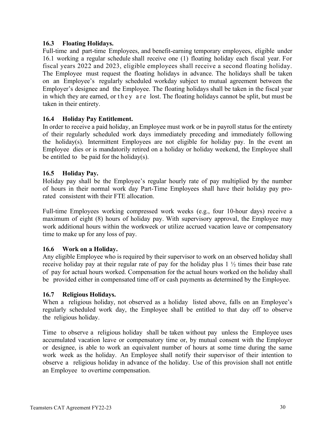# <span id="page-35-0"></span>**16.3 Floating Holidays.**

Full-time and part-time Employees, and benefit-earning temporary employees, eligible under 16.1 working a regular schedule shall receive one (1) floating holiday each fiscal year. For fiscal years 2022 and 2023, eligible employees shall receive a second floating holiday. The Employee must request the floating holidays in advance. The holidays shall be taken on an Employee's regularly scheduled workday subject to mutual agreement between the Employer's designee and the Employee. The floating holidays shall be taken in the fiscal year in which they are earned, or they are lost. The floating holidays cannot be split, but must be taken in their entirety.

# <span id="page-35-1"></span>**16.4 Holiday Pay Entitlement.**

In order to receive a paid holiday, an Employee must work or be in payroll status for the entirety of their regularly scheduled work days immediately preceding and immediately following the holiday(s). Intermittent Employees are not eligible for holiday pay. In the event an Employee dies or is mandatorily retired on a holiday or holiday weekend, the Employee shall be entitled to be paid for the holiday $(s)$ .

# <span id="page-35-2"></span>**16.5 Holiday Pay.**

Holiday pay shall be the Employee's regular hourly rate of pay multiplied by the number of hours in their normal work day Part-Time Employees shall have their holiday pay prorated consistent with their FTE allocation.

Full-time Employees working compressed work weeks (e.g., four 10-hour days) receive a maximum of eight (8) hours of holiday pay. With supervisory approval, the Employee may work additional hours within the workweek or utilize accrued vacation leave or compensatory time to make up for any loss of pay.

# <span id="page-35-3"></span>**16.6 Work on a Holiday.**

Any eligible Employee who is required by their supervisor to work on an observed holiday shall receive holiday pay at their regular rate of pay for the holiday plus 1 ½ times their base rate of pay for actual hours worked. Compensation for the actual hours worked on the holiday shall be provided either in compensated time off or cash payments as determined by the Employee.

# <span id="page-35-4"></span>**16.7 Religious Holidays.**

When a religious holiday, not observed as a holiday listed above, falls on an Employee's regularly scheduled work day, the Employee shall be entitled to that day off to observe the religious holiday.

Time to observe a religious holiday shall be taken without pay unless the Employee uses accumulated vacation leave or compensatory time or, by mutual consent with the Employer or designee, is able to work an equivalent number of hours at some time during the same work week as the holiday. An Employee shall notify their supervisor of their intention to observe a religious holiday in advance of the holiday. Use of this provision shall not entitle an Employee to overtime compensation.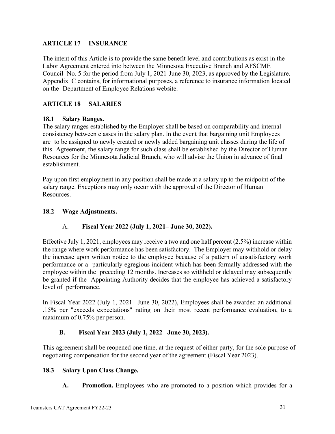# <span id="page-36-0"></span>**ARTICLE 17 INSURANCE**

The intent of this Article is to provide the same benefit level and contributions as exist in the Labor Agreement entered into between the Minnesota Executive Branch and AFSCME Council No. 5 for the period from July 1, 2021-June 30, 2023, as approved by the Legislature. Appendix C contains, for informational purposes, a reference to insurance information located on the Department of Employee Relations website.

# <span id="page-36-1"></span>**ARTICLE 18 SALARIES**

### <span id="page-36-2"></span>**18.1 Salary Ranges.**

The salary ranges established by the Employer shall be based on comparability and internal consistency between classes in the salary plan. In the event that bargaining unit Employees are to be assigned to newly created or newly added bargaining unit classes during the life of this Agreement, the salary range for such class shall be established by the Director of Human Resources for the Minnesota Judicial Branch, who will advise the Union in advance of final establishment.

Pay upon first employment in any position shall be made at a salary up to the midpoint of the salary range. Exceptions may only occur with the approval of the Director of Human Resources.

### <span id="page-36-3"></span>**18.2 Wage Adjustments.**

# A. **Fiscal Year 2022 (July 1, 2021– June 30, 2022).**

Effective July 1, 2021, employees may receive a two and one half percent (2.5%) increase within the range where work performance has been satisfactory. The Employer may withhold or delay the increase upon written notice to the employee because of a pattern of unsatisfactory work performance or a particularly egregious incident which has been formally addressed with the employee within the preceding 12 months. Increases so withheld or delayed may subsequently be granted if the Appointing Authority decides that the employee has achieved a satisfactory level of performance.

In Fiscal Year 2022 (July 1, 2021– June 30, 2022), Employees shall be awarded an additional .15% per "exceeds expectations" rating on their most recent performance evaluation, to a maximum of 0.75% per person.

# **B. Fiscal Year 2023 (July 1, 2022– June 30, 2023).**

This agreement shall be reopened one time, at the request of either party, for the sole purpose of negotiating compensation for the second year of the agreement (Fiscal Year 2023).

#### <span id="page-36-4"></span>**18.3 Salary Upon Class Change.**

**A. Promotion.** Employees who are promoted to a position which provides for a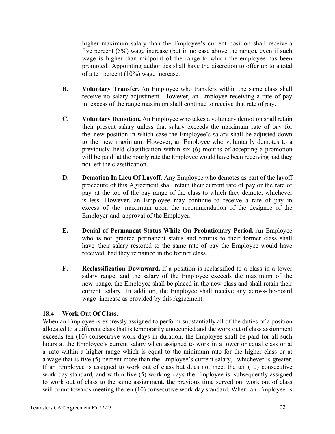higher maximum salary than the Employee's current position shall receive a five percent (5%) wage increase (but in no case above the range), even if such wage is higher than midpoint of the range to which the employee has been promoted. Appointing authorities shall have the discretion to offer up to a total of a ten percent (10%) wage increase.

- **B. Voluntary Transfer.** An Employee who transfers within the same class shall receive no salary adjustment. However, an Employee receiving a rate of pay in excess of the range maximum shall continue to receive that rate of pay.
- **C. Voluntary Demotion.** An Employee who takes a voluntary demotion shall retain their present salary unless that salary exceeds the maximum rate of pay for the new position in which case the Employee's salary shall be adjusted down to the new maximum. However, an Employee who voluntarily demotes to a previously held classification within six (6) months of accepting a promotion will be paid at the hourly rate the Employee would have been receiving had they not left the classification.
- **D. Demotion In Lieu Of Layoff.** Any Employee who demotes as part of the layoff procedure of this Agreement shall retain their current rate of pay or the rate of pay at the top of the pay range of the class to which they demote, whichever is less. However, an Employee may continue to receive a rate of pay in excess of the maximum upon the recommendation of the designee of the Employer and approval of the Employer.
- **E. Denial of Permanent Status While On Probationary Period.** An Employee who is not granted permanent status and returns to their former class shall have their salary restored to the same rate of pay the Employee would have received had they remained in the former class.
- **F. Reclassification Downward.** If a position is reclassified to a class in a lower salary range, and the salary of the Employee exceeds the maximum of the new range, the Employee shall be placed in the new class and shall retain their current salary. In addition, the Employee shall receive any across-the-board wage increase as provided by this Agreement.

# <span id="page-37-0"></span>**18.4 Work Out Of Class.**

When an Employee is expressly assigned to perform substantially all of the duties of a position allocated to a different class that is temporarily unoccupied and the work out of class assignment exceeds ten (10) consecutive work days in duration, the Employee shall be paid for all such hours at the Employee's current salary when assigned to work in a lower or equal class or at a rate within a higher range which is equal to the minimum rate for the higher class or at a wage that is five (5) percent more than the Employee's current salary, whichever is greater. If an Employee is assigned to work out of class but does not meet the ten (10) consecutive work day standard, and within five (5) working days the Employee is subsequently assigned to work out of class to the same assignment, the previous time served on work out of class will count towards meeting the ten (10) consecutive work day standard. When an Employee is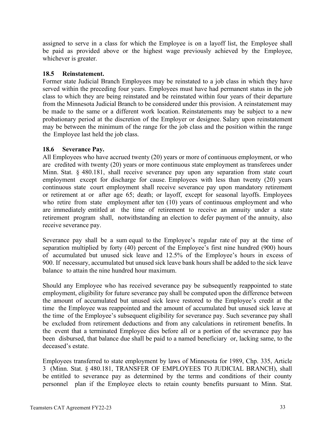assigned to serve in a class for which the Employee is on a layoff list, the Employee shall be paid as provided above or the highest wage previously achieved by the Employee, whichever is greater.

### <span id="page-38-0"></span>**18.5 Reinstatement.**

Former state Judicial Branch Employees may be reinstated to a job class in which they have served within the preceding four years. Employees must have had permanent status in the job class to which they are being reinstated and be reinstated within four years of their departure from the Minnesota Judicial Branch to be considered under this provision. A reinstatement may be made to the same or a different work location. Reinstatements may be subject to a new probationary period at the discretion of the Employer or designee. Salary upon reinstatement may be between the minimum of the range for the job class and the position within the range the Employee last held the job class.

# <span id="page-38-1"></span>**18.6 Severance Pay.**

All Employees who have accrued twenty (20) years or more of continuous employment, or who are credited with twenty (20) years or more continuous state employment as transferees under Minn. Stat. § 480.181, shall receive severance pay upon any separation from state court employment except for discharge for cause. Employees with less than twenty (20) years continuous state court employment shall receive severance pay upon mandatory retirement or retirement at or after age 65; death; or layoff, except for seasonal layoffs. Employees who retire from state employment after ten (10) years of continuous employment and who are immediately entitled at the time of retirement to receive an annuity under a state retirement program shall, notwithstanding an election to defer payment of the annuity, also receive severance pay.

Severance pay shall be a sum equal to the Employee's regular rate of pay at the time of separation multiplied by forty (40) percent of the Employee's first nine hundred (900) hours of accumulated but unused sick leave and 12.5% of the Employee's hours in excess of 900. If necessary, accumulated but unused sick leave bank hours shall be added to the sick leave balance to attain the nine hundred hour maximum.

Should any Employee who has received severance pay be subsequently reappointed to state employment, eligibility for future severance pay shall be computed upon the difference between the amount of accumulated but unused sick leave restored to the Employee's credit at the time the Employee was reappointed and the amount of accumulated but unused sick leave at the time of the Employee's subsequent eligibility for severance pay. Such severance pay shall be excluded from retirement deductions and from any calculations in retirement benefits. In the event that a terminated Employee dies before all or a portion of the severance pay has been disbursed, that balance due shall be paid to a named beneficiary or, lacking same, to the deceased's estate.

Employees transferred to state employment by laws of Minnesota for 1989, Chp. 335, Article 3 (Minn. Stat. § 480.181, TRANSFER OF EMPLOYEES TO JUDICIAL BRANCH), shall be entitled to severance pay as determined by the terms and conditions of their county personnel plan if the Employee elects to retain county benefits pursuant to Minn. Stat.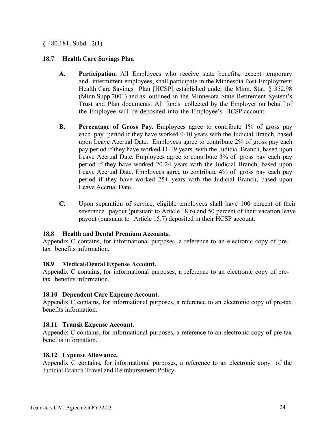§ 480.181, Subd. 2(1).

# <span id="page-39-0"></span>**18.7 Health Care Savings Plan**

- **A. Participation.** All Employees who receive state benefits, except temporary and intermittent employees, shall participate in the Minnesota Post-Employment Health Care Savings Plan [HCSP] established under the Minn. Stat. § 352.98 (Minn.Supp.2001) and as outlined in the Minnesota State Retirement System's Trust and Plan documents. All funds collected by the Employer on behalf of the Employee will be deposited into the Employee's HCSP account.
- **B. Percentage of Gross Pay.** Employees agree to contribute 1% of gross pay each pay period if they have worked 0-10 years with the Judicial Branch, based upon Leave Accrual Date. Employees agree to contribute 2% of gross pay each pay period if they have worked 11-19 years with the Judicial Branch, based upon Leave Accrual Date. Employees agree to contribute 3% of gross pay each pay period if they have worked 20-24 years with the Judicial Branch, based upon Leave Accrual Date. Employees agree to contribute 4% of gross pay each pay period if they have worked 25+ years with the Judicial Branch, based upon Leave Accrual Date.
- **C.** Upon separation of service, eligible employees shall have 100 percent of their severance payout (pursuant to Article 18.6) and 50 percent of their vacation leave payout (pursuant to Article 15.7) deposited in their HCSP account.

#### <span id="page-39-1"></span>**18.8 Health and Dental Premium Accounts.**

Appendix C contains, for informational purposes, a reference to an electronic copy of pretax benefits information.

#### <span id="page-39-2"></span>**18.9 Medical/Dental Expense Account.**

Appendix C contains, for informational purposes, a reference to an electronic copy of pretax benefits information.

# <span id="page-39-3"></span>**18.10 Dependent Care Expense Account.**

Appendix C contains, for informational purposes, a reference to an electronic copy of pre-tax benefits information.

#### <span id="page-39-4"></span>**18.11 Transit Expense Account.**

Appendix C contains, for informational purposes, a reference to an electronic copy of pre-tax benefits information.

#### <span id="page-39-5"></span>**18.12 Expense Allowance.**

Appendix C contains, for informational purposes, a reference to an electronic copy of the Judicial Branch Travel and Reimbursement Policy.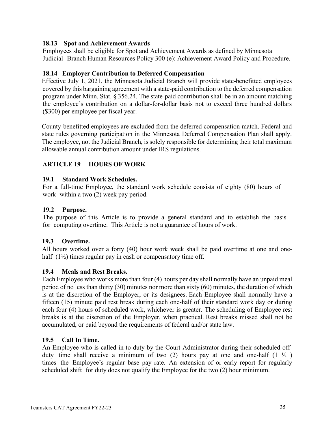# <span id="page-40-0"></span>**18.13 Spot and Achievement Awards**

Employees shall be eligible for Spot and Achievement Awards as defined by Minnesota Judicial Branch Human Resources Policy 300 (e): Achievement Award Policy and Procedure.

# <span id="page-40-1"></span>**18.14 Employer Contribution to Deferred Compensation**

Effective July 1, 2021, the Minnesota Judicial Branch will provide state-benefitted employees covered by this bargaining agreement with a state-paid contribution to the deferred compensation program under Minn. Stat. § 356.24. The state-paid contribution shall be in an amount matching the employee's contribution on a dollar-for-dollar basis not to exceed three hundred dollars (\$300) per employee per fiscal year.

County-benefitted employees are excluded from the deferred compensation match. Federal and state rules governing participation in the Minnesota Deferred Compensation Plan shall apply. The employee, not the Judicial Branch, is solely responsible for determining their total maximum allowable annual contribution amount under IRS regulations.

# <span id="page-40-2"></span>**ARTICLE 19 HOURS OF WORK**

#### <span id="page-40-3"></span>**19.1 Standard Work Schedules.**

For a full-time Employee, the standard work schedule consists of eighty (80) hours of work within a two (2) week pay period.

#### <span id="page-40-4"></span>**19.2 Purpose.**

The purpose of this Article is to provide a general standard and to establish the basis for computing overtime. This Article is not a guarantee of hours of work.

#### <span id="page-40-5"></span>**19.3 Overtime.**

All hours worked over a forty (40) hour work week shall be paid overtime at one and onehalf  $(1\frac{1}{2})$  times regular pay in cash or compensatory time off.

#### <span id="page-40-6"></span>**19.4 Meals and Rest Breaks.**

Each Employee who works more than four (4) hours per day shall normally have an unpaid meal period of no less than thirty (30) minutes nor more than sixty (60) minutes, the duration of which is at the discretion of the Employer, or its designees. Each Employee shall normally have a fifteen (15) minute paid rest break during each one-half of their standard work day or during each four (4) hours of scheduled work, whichever is greater. The scheduling of Employee rest breaks is at the discretion of the Employer, when practical. Rest breaks missed shall not be accumulated, or paid beyond the requirements of federal and/or state law.

#### <span id="page-40-7"></span>**19.5 Call In Time.**

An Employee who is called in to duty by the Court Administrator during their scheduled offduty time shall receive a minimum of two (2) hours pay at one and one-half  $(1 \frac{1}{2})$ times the Employee's regular base pay rate. An extension of or early report for regularly scheduled shift for duty does not qualify the Employee for the two (2) hour minimum.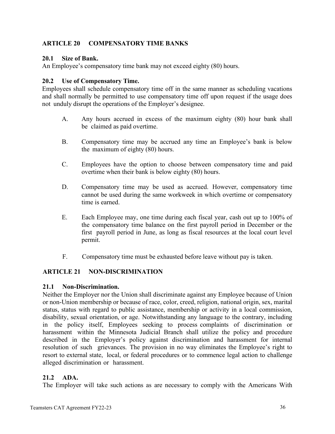# <span id="page-41-0"></span>**ARTICLE 20 COMPENSATORY TIME BANKS**

### <span id="page-41-1"></span>**20.1 Size of Bank.**

An Employee's compensatory time bank may not exceed eighty (80) hours.

### <span id="page-41-2"></span>**20.2 Use of Compensatory Time.**

Employees shall schedule compensatory time off in the same manner as scheduling vacations and shall normally be permitted to use compensatory time off upon request if the usage does not unduly disrupt the operations of the Employer's designee.

- A. Any hours accrued in excess of the maximum eighty (80) hour bank shall be claimed as paid overtime.
- B. Compensatory time may be accrued any time an Employee's bank is below the maximum of eighty (80) hours.
- C. Employees have the option to choose between compensatory time and paid overtime when their bank is below eighty (80) hours.
- D. Compensatory time may be used as accrued. However, compensatory time cannot be used during the same workweek in which overtime or compensatory time is earned.
- E. Each Employee may, one time during each fiscal year, cash out up to 100% of the compensatory time balance on the first payroll period in December or the first payroll period in June, as long as fiscal resources at the local court level permit.
- F. Compensatory time must be exhausted before leave without pay is taken.

# <span id="page-41-3"></span>**ARTICLE 21 NON-DISCRIMINATION**

#### <span id="page-41-4"></span>**21.1 Non-Discrimination.**

Neither the Employer nor the Union shall discriminate against any Employee because of Union or non-Union membership or because of race, color, creed, religion, national origin, sex, marital status, status with regard to public assistance, membership or activity in a local commission, disability, sexual orientation, or age. Notwithstanding any language to the contrary, including in the policy itself, Employees seeking to process complaints of discrimination or harassment within the Minnesota Judicial Branch shall utilize the policy and procedure described in the Employer's policy against discrimination and harassment for internal resolution of such grievances. The provision in no way eliminates the Employee's right to resort to external state, local, or federal procedures or to commence legal action to challenge alleged discrimination or harassment.

# <span id="page-41-5"></span>**21.2 ADA.**

The Employer will take such actions as are necessary to comply with the Americans With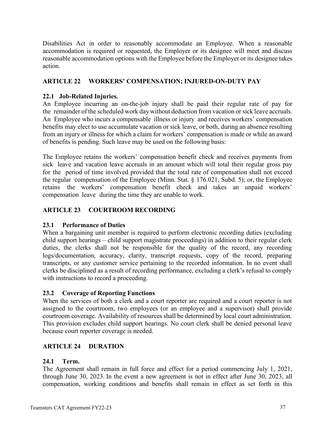Disabilities Act in order to reasonably accommodate an Employee. When a reasonable accommodation is required or requested, the Employer or its designee will meet and discuss reasonable accommodation options with the Employee before the Employer or its designee takes action.

# <span id="page-42-0"></span>**ARTICLE 22 WORKERS' COMPENSATION; INJURED-ON-DUTY PAY**

# <span id="page-42-1"></span>**22.1 Job-Related Injuries.**

An Employee incurring an on-the-job injury shall be paid their regular rate of pay for the remainder of the scheduled work day without deduction from vacation or sick leave accruals. An Employee who incurs a compensable illness or injury and receives workers' compensation benefits may elect to use accumulate vacation or sick leave, or both, during an absence resulting from an injury or illness for which a claim for workers' compensation is made or while an award of benefits is pending. Such leave may be used on the following basis:

The Employee retains the workers' compensation benefit check and receives payments from sick leave and vacation leave accruals in an amount which will total their regular gross pay for the period of time involved provided that the total rate of compensation shall not exceed the regular compensation of the Employee (Minn. Stat. § 176.021, Subd. 5); or, the Employee retains the workers' compensation benefit check and takes an unpaid workers' compensation leave during the time they are unable to work.

# <span id="page-42-2"></span>**ARTICLE 23 COURTROOM RECORDING**

# <span id="page-42-3"></span>**23.1 Performance of Duties**

When a bargaining unit member is required to perform electronic recording duties (excluding child support hearings – child support magistrate proceedings) in addition to their regular clerk duties, the clerks shall not be responsible for the quality of the record, any recording logs/documentation, accuracy, clarity, transcript requests, copy of the record, preparing transcripts, or any customer service pertaining to the recorded information. In no event shall clerks be disciplined as a result of recording performance, excluding a clerk's refusal to comply with instructions to record a proceeding.

# <span id="page-42-4"></span>**23.2 Coverage of Reporting Functions**

When the services of both a clerk and a court reporter are required and a court reporter is not assigned to the courtroom, two employees (or an employee and a supervisor) shall provide courtroom coverage. Availability of resources shall be determined by local court administration. This provision excludes child support hearings. No court clerk shall be denied personal leave because court reporter coverage is needed.

# <span id="page-42-5"></span>**ARTICLE 24 DURATION**

# <span id="page-42-6"></span>**24.1 Term.**

The Agreement shall remain in full force and effect for a period commencing July 1, 2021, through June 30, 2023. In the event a new agreement is not in effect after June 30, 2023, all compensation, working conditions and benefits shall remain in effect as set forth in this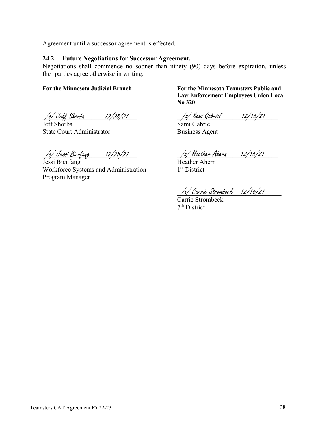Agreement until a successor agreement is effected.

#### <span id="page-43-0"></span>**24.2 Future Negotiations for Successor Agreement.**

Negotiations shall commence no sooner than ninety (90) days before expiration, unless the parties agree otherwise in writing.

**For the Minnesota Judicial Branch For the Minnesota Teamsters Public and** 

/s/ Jeff Shorba 12/28/21 /s/ Sami Gabriel 12/16/21 /s/ Jeff Shorba 12/28/21

**Law Enforcement Employees Union Local** 

Jeff Shorba Sami Gabriel State Court Administrator Business Agent

/s/ Jessi Bienfang 12/28/21 /s/ Heather Ahern 12/16/21 /s/ Jessi Bienfang 12/28/21

Jessi Bienfang Heather Ahern Workforce Systems and Administration 1<sup>st</sup> District Program Manager

**No 320**

/s/ Carrie Strombeck 12/16/21 /s/ Carrie Strombeck 12/16/21

Carrie Strombeck 7th District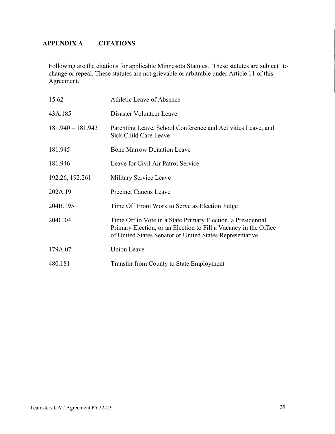# <span id="page-44-0"></span>**APPENDIX A CITATIONS**

Following are the citations for applicable Minnesota Statutes. These statutes are subject to change or repeal. These statutes are not grievable or arbitrable under Article 11 of this Agreement.

| 15.62               | Athletic Leave of Absence                                                                                                                                                                    |
|---------------------|----------------------------------------------------------------------------------------------------------------------------------------------------------------------------------------------|
| 43A.185             | Disaster Volunteer Leave                                                                                                                                                                     |
| $181.940 - 181.943$ | Parenting Leave, School Conference and Activities Leave, and<br>Sick Child Care Leave                                                                                                        |
| 181.945             | <b>Bone Marrow Donation Leave</b>                                                                                                                                                            |
| 181.946             | Leave for Civil Air Patrol Service                                                                                                                                                           |
| 192.26, 192.261     | Military Service Leave                                                                                                                                                                       |
| 202A.19             | <b>Precinct Caucus Leave</b>                                                                                                                                                                 |
| 204B.195            | Time Off From Work to Serve as Election Judge                                                                                                                                                |
| 204C.04             | Time Off to Vote in a State Primary Election, a Presidential<br>Primary Election, or an Election to Fill a Vacancy in the Office<br>of United States Senator or United States Representative |
| 179A.07             | <b>Union Leave</b>                                                                                                                                                                           |
| 480.181             | Transfer from County to State Employment                                                                                                                                                     |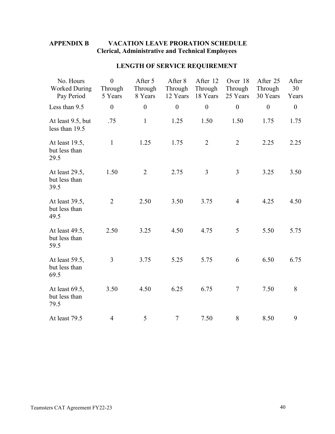# <span id="page-45-0"></span>**APPENDIX B VACATION LEAVE PRORATION SCHEDULE Clerical, Administrative and Technical Employees**

| No. Hours<br><b>Worked During</b><br>Pay Period | $\overline{0}$<br>Through<br>5 Years | After 5<br>Through<br>8 Years | After 8<br>Through<br>12 Years | After 12<br>Through<br>18 Years | Over 18<br>Through<br>25 Years | After 25<br>Through<br>30 Years | After<br>30<br>Years |
|-------------------------------------------------|--------------------------------------|-------------------------------|--------------------------------|---------------------------------|--------------------------------|---------------------------------|----------------------|
| Less than 9.5                                   | $\boldsymbol{0}$                     | $\boldsymbol{0}$              | $\boldsymbol{0}$               | $\boldsymbol{0}$                | $\boldsymbol{0}$               | $\boldsymbol{0}$                | $\boldsymbol{0}$     |
| At least 9.5, but<br>less than 19.5             | .75                                  | $\mathbf{1}$                  | 1.25                           | 1.50                            | 1.50                           | 1.75                            | 1.75                 |
| At least 19.5,<br>but less than<br>29.5         | $\mathbf{1}$                         | 1.25                          | 1.75                           | $\overline{2}$                  | $\overline{2}$                 | 2.25                            | 2.25                 |
| At least 29.5,<br>but less than<br>39.5         | 1.50                                 | $\overline{2}$                | 2.75                           | $\mathfrak{Z}$                  | $\overline{3}$                 | 3.25                            | 3.50                 |
| At least 39.5,<br>but less than<br>49.5         | $\overline{2}$                       | 2.50                          | 3.50                           | 3.75                            | $\overline{4}$                 | 4.25                            | 4.50                 |
| At least 49.5,<br>but less than<br>59.5         | 2.50                                 | 3.25                          | 4.50                           | 4.75                            | 5                              | 5.50                            | 5.75                 |
| At least 59.5,<br>but less than<br>69.5         | 3                                    | 3.75                          | 5.25                           | 5.75                            | 6                              | 6.50                            | 6.75                 |
| At least 69.5,<br>but less than<br>79.5         | 3.50                                 | 4.50                          | 6.25                           | 6.75                            | $\tau$                         | 7.50                            | 8                    |
| At least 79.5                                   | $\overline{4}$                       | 5                             | $\tau$                         | 7.50                            | 8                              | 8.50                            | 9                    |

# **LENGTH OF SERVICE REQUIREMENT**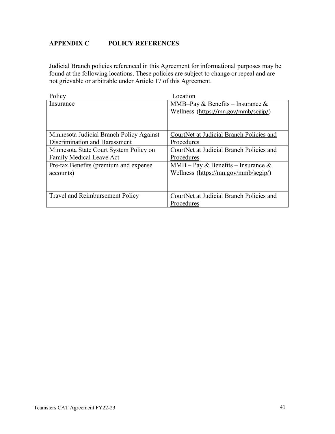# <span id="page-46-0"></span>**APPENDIX C POLICY REFERENCES**

Judicial Branch policies referenced in this Agreement for informational purposes may be found at the following locations. These policies are subject to change or repeal and are not grievable or arbitrable under Article 17 of this Agreement.

| Policy                                   | Location                                 |
|------------------------------------------|------------------------------------------|
| Insurance                                | MMB-Pay & Benefits – Insurance &         |
|                                          | Wellness (https://mn.gov/mmb/segip/)     |
|                                          |                                          |
|                                          |                                          |
| Minnesota Judicial Branch Policy Against | CourtNet at Judicial Branch Policies and |
| Discrimination and Harassment            | Procedures                               |
| Minnesota State Court System Policy on   | CourtNet at Judicial Branch Policies and |
| Family Medical Leave Act                 | Procedures                               |
| Pre-tax Benefits (premium and expense    | MMB – Pay & Benefits – Insurance &       |
| accounts)                                | Wellness (https://mn.gov/mmb/segip/)     |
|                                          |                                          |
|                                          |                                          |
| <b>Travel and Reimbursement Policy</b>   | CourtNet at Judicial Branch Policies and |
|                                          | Procedures                               |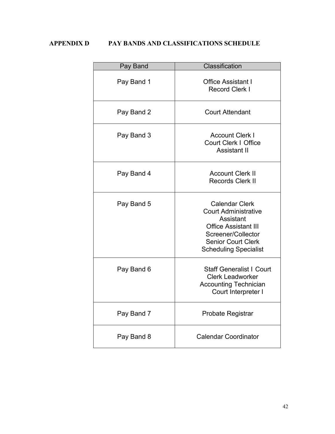# <span id="page-47-0"></span>**APPENDIX D PAY BANDS AND CLASSIFICATIONS SCHEDULE**

| Pay Band   | Classification                                                                                                                                                                      |  |  |  |
|------------|-------------------------------------------------------------------------------------------------------------------------------------------------------------------------------------|--|--|--|
| Pay Band 1 | <b>Office Assistant I</b><br><b>Record Clerk I</b>                                                                                                                                  |  |  |  |
| Pay Band 2 | <b>Court Attendant</b>                                                                                                                                                              |  |  |  |
| Pay Band 3 | <b>Account Clerk I</b><br><b>Court Clerk   Office</b><br>Assistant II                                                                                                               |  |  |  |
| Pay Band 4 | <b>Account Clerk II</b><br><b>Records Clerk II</b>                                                                                                                                  |  |  |  |
| Pay Band 5 | <b>Calendar Clerk</b><br><b>Court Administrative</b><br>Assistant<br><b>Office Assistant III</b><br>Screener/Collector<br><b>Senior Court Clerk</b><br><b>Scheduling Specialist</b> |  |  |  |
| Pay Band 6 | <b>Staff Generalist I Court</b><br><b>Clerk Leadworker</b><br><b>Accounting Technician</b><br>Court Interpreter I                                                                   |  |  |  |
| Pay Band 7 | Probate Registrar                                                                                                                                                                   |  |  |  |
| Pay Band 8 | <b>Calendar Coordinator</b>                                                                                                                                                         |  |  |  |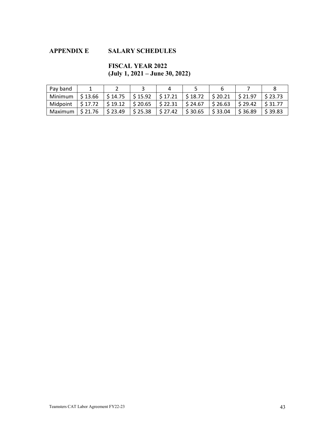# <span id="page-48-0"></span>**APPENDIX E SALARY SCHEDULES**

# **FISCAL YEAR 2022 (July 1, 2021 – June 30, 2022)**

| Pay band                |                        |                                                                                         |                        |                        |                        |                        |         |                     |
|-------------------------|------------------------|-----------------------------------------------------------------------------------------|------------------------|------------------------|------------------------|------------------------|---------|---------------------|
| Minimum                 | $\frac{1}{2}$ \$ 13.66 | $\frac{1}{2}$ \$ 14.75 $\frac{1}{2}$ \$ 15.92                                           |                        | $\frac{1}{2}$ \$ 17.21 | $\frac{1}{2}$ \$ 18.72 | $\frac{1}{2}$ \$ 20.21 | \$21.97 | \$23.73             |
| Midpoint                |                        | $\frac{1}{2}$ \$17.72 $\frac{1}{2}$ \$19.12 $\frac{1}{2}$ \$20.65 $\frac{1}{2}$ \$22.31 |                        |                        | $\frac{1}{2}$ \$ 24.67 | l \$ 26.63             | S 29.42 | $\frac{1}{5}$ 31.77 |
| Maximum $\mid$ \$ 21.76 |                        | $\frac{1}{2}$ \$ 23.49                                                                  | $\frac{1}{2}$ \$ 25.38 | $\frac{1}{2}$ \$ 27.42 | \$30.65                | \$33.04                | \$36.89 | \$39.83             |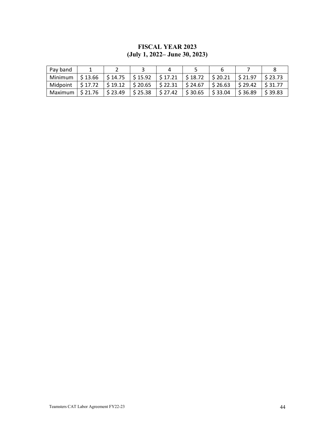# **FISCAL YEAR 2023 (July 1, 2022– June 30, 2023)**

| Pav band                                                                                                                         |              |                  |                                                                      |                        |                        |           |         |
|----------------------------------------------------------------------------------------------------------------------------------|--------------|------------------|----------------------------------------------------------------------|------------------------|------------------------|-----------|---------|
| Minimum                                                                                                                          | S 13.66      |                  | $\frac{1}{2}$ \$ 14.75 $\frac{1}{2}$ \$ 15.92 $\frac{1}{2}$ \$ 17.21 | $\frac{1}{2}$ \$ 18.72 | $\frac{1}{2}$ \$ 20.21 | \$21.97   | \$23.73 |
| Midpoint $\frac{1}{5}$ 17.72 $\frac{1}{5}$ 19.12 $\frac{1}{5}$ 20.65 $\frac{1}{5}$ 22.31 $\frac{1}{5}$ 24.67 $\frac{1}{5}$ 26.63 |              |                  |                                                                      |                        |                        | $S$ 29.42 | S 31.77 |
| Maximum                                                                                                                          | . 1 \$ 21.76 | $\vert$ \$ 23.49 | $\frac{1}{2}$ \$ 25.38 $\frac{1}{2}$ \$ 27.42                        | $\frac{1}{2}$ \$ 30.65 | \$33.04                | S 36.89   | \$39.83 |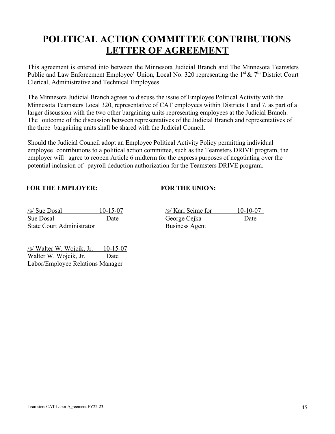# **POLITICAL ACTION COMMITTEE CONTRIBUTIONS LETTER OF AGREEMENT**

This agreement is entered into between the Minnesota Judicial Branch and The Minnesota Teamsters Public and Law Enforcement Employee' Union, Local No. 320 representing the  $1<sup>st</sup> \& 7<sup>th</sup>$  District Court Clerical, Administrative and Technical Employees.

The Minnesota Judicial Branch agrees to discuss the issue of Employee Political Activity with the Minnesota Teamsters Local 320, representative of CAT employees within Districts 1 and 7, as part of a larger discussion with the two other bargaining units representing employees at the Judicial Branch. The outcome of the discussion between representatives of the Judicial Branch and representatives of the three bargaining units shall be shared with the Judicial Council.

Should the Judicial Council adopt an Employee Political Activity Policy permitting individual employee contributions to a political action committee, such as the Teamsters DRIVE program, the employer will agree to reopen Article 6 midterm for the express purposes of negotiating over the potential inclusion of payroll deduction authorization for the Teamsters DRIVE program.

### **FOR THE EMPLOYER: FOR THE UNION:**

 $/s/$  Sue Dosal  $10-15-07$ Sue Dosal Date Date George Cejka Date State Court Administrator

| /s/ Kari Seime for    | $10-10-07$ |
|-----------------------|------------|
| George Cejka          | Date       |
| <b>Business Agent</b> |            |

 $/s$  Walter W. Wojcik, Jr. 10-15-07 Walter W. Wojcik, Jr. Date Labor/Employee Relations Manager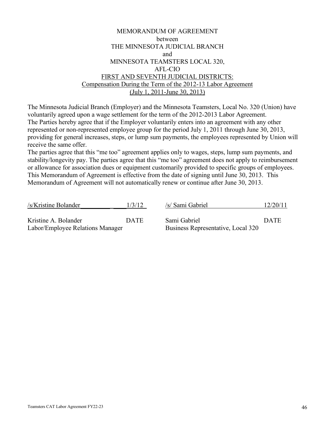# MEMORANDUM OF AGREEMENT between THE MINNESOTA JUDICIAL BRANCH and MINNESOTA TEAMSTERS LOCAL 320, AFL-CIO FIRST AND SEVENTH JUDICIAL DISTRICTS: Compensation During the Term of the 2012-13 Labor Agreement (July 1, 2011-June 30, 2013)

The Minnesota Judicial Branch (Employer) and the Minnesota Teamsters, Local No. 320 (Union) have voluntarily agreed upon a wage settlement for the term of the 2012-2013 Labor Agreement. The Parties hereby agree that if the Employer voluntarily enters into an agreement with any other represented or non-represented employee group for the period July 1, 2011 through June 30, 2013, providing for general increases, steps, or lump sum payments, the employees represented by Union will receive the same offer.

The parties agree that this "me too" agreement applies only to wages, steps, lump sum payments, and stability/longevity pay. The parties agree that this "me too" agreement does not apply to reimbursement or allowance for association dues or equipment customarily provided to specific groups of employees. This Memorandum of Agreement is effective from the date of signing until June 30, 2013. This Memorandum of Agreement will not automatically renew or continue after June 30, 2013.

| /s/Kristine Bolander                                     | 1/3/12      | /s/ Sami Gabriel                                   | 12/20/11    |
|----------------------------------------------------------|-------------|----------------------------------------------------|-------------|
| Kristine A. Bolander<br>Labor/Employee Relations Manager | <b>DATE</b> | Sami Gabriel<br>Business Representative, Local 320 | <b>DATE</b> |